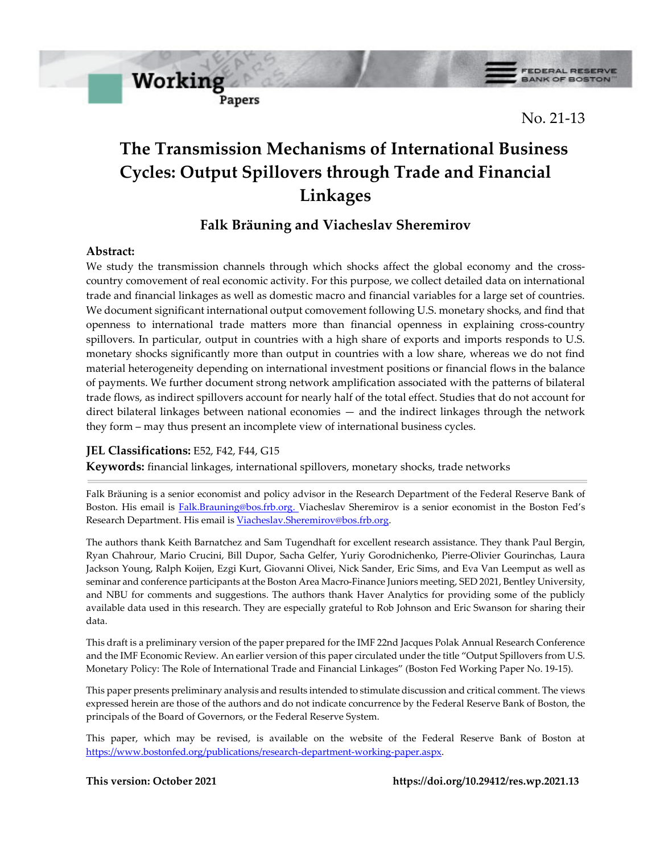

**FEDERAL RESERVE BANK OF BOSTON** 

No. 21-13

# **The Transmission Mechanisms of International Business Cycles: Output Spillovers through Trade and Financial Linkages**

# **Falk Bräuning and Viacheslav Sheremirov**

# **Abstract:**

We study the transmission channels through which shocks affect the global economy and the crosscountry comovement of real economic activity. For this purpose, we collect detailed data on international trade and financial linkages as well as domestic macro and financial variables for a large set of countries. We document significant international output comovement following U.S. monetary shocks, and find that openness to international trade matters more than financial openness in explaining cross-country spillovers. In particular, output in countries with a high share of exports and imports responds to U.S. monetary shocks significantly more than output in countries with a low share, whereas we do not find material heterogeneity depending on international investment positions or financial flows in the balance of payments. We further document strong network amplification associated with the patterns of bilateral trade flows, as indirect spillovers account for nearly half of the total effect. Studies that do not account for direct bilateral linkages between national economies — and the indirect linkages through the network they form – may thus present an incomplete view of international business cycles.

# **JEL Classifications:** E52, F42, F44, G15

**Working** 

Papers

**Keywords:** financial linkages, international spillovers, monetary shocks, trade networks

Falk Bräuning is a senior economist and policy advisor in the Research Department of the Federal Reserve Bank of Boston. His email is **Falk.Brauning@bos.frb.org.** Viacheslav Sheremirov is a senior economist in the Boston Fed's Research Department. His email is [Viacheslav.Sheremirov@bos.frb.org.](mailto:Viacheslav.Sheremirov@bos.frb.org)

The authors thank Keith Barnatchez and Sam Tugendhaft for excellent research assistance. They thank Paul Bergin, Ryan Chahrour, Mario Crucini, Bill Dupor, Sacha Gelfer, Yuriy Gorodnichenko, Pierre-Olivier Gourinchas, Laura Jackson Young, Ralph Koijen, Ezgi Kurt, Giovanni Olivei, Nick Sander, Eric Sims, and Eva Van Leemput as well as seminar and conference participants at the Boston Area Macro-Finance Juniors meeting, SED 2021, Bentley University, and NBU for comments and suggestions. The authors thank Haver Analytics for providing some of the publicly available data used in this research. They are especially grateful to Rob Johnson and Eric Swanson for sharing their data.

This draft is a preliminary version of the paper prepared for the IMF 22nd Jacques Polak Annual Research Conference and the IMF Economic Review. An earlier version of this paper circulated under the title "Output Spillovers from U.S. Monetary Policy: The Role of International Trade and Financial Linkages" (Boston Fed Working Paper No. 19-15).

This paper presents preliminary analysis and results intended to stimulate discussion and critical comment. The views expressed herein are those of the authors and do not indicate concurrence by the Federal Reserve Bank of Boston, the principals of the Board of Governors, or the Federal Reserve System.

This paper, which may be revised, is available on the website of the Federal Reserve Bank of Boston at [https://www.bostonfed.org/publications/research-department-working-paper.aspx.](https://www.bostonfed.org/publications/research-department-working-paper.aspx)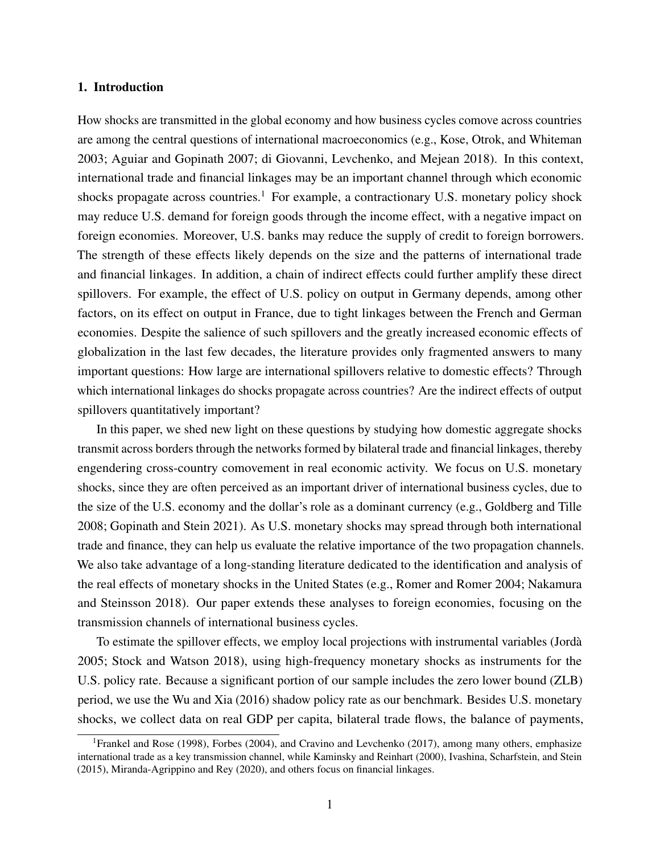#### 1. Introduction

How shocks are transmitted in the global economy and how business cycles comove across countries are among the central questions of international macroeconomics (e.g., [Kose, Otrok, and Whiteman](#page-30-0) [2003;](#page-30-0) [Aguiar and Gopinath](#page-27-0) [2007;](#page-27-0) [di Giovanni, Levchenko, and Mejean](#page-28-0) [2018\)](#page-28-0). In this context, international trade and financial linkages may be an important channel through which economic shocks propagate across countries.<sup>[1](#page-1-0)</sup> For example, a contractionary U.S. monetary policy shock may reduce U.S. demand for foreign goods through the income effect, with a negative impact on foreign economies. Moreover, U.S. banks may reduce the supply of credit to foreign borrowers. The strength of these effects likely depends on the size and the patterns of international trade and financial linkages. In addition, a chain of indirect effects could further amplify these direct spillovers. For example, the effect of U.S. policy on output in Germany depends, among other factors, on its effect on output in France, due to tight linkages between the French and German economies. Despite the salience of such spillovers and the greatly increased economic effects of globalization in the last few decades, the literature provides only fragmented answers to many important questions: How large are international spillovers relative to domestic effects? Through which international linkages do shocks propagate across countries? Are the indirect effects of output spillovers quantitatively important?

In this paper, we shed new light on these questions by studying how domestic aggregate shocks transmit across borders through the networks formed by bilateral trade and financial linkages, thereby engendering cross-country comovement in real economic activity. We focus on U.S. monetary shocks, since they are often perceived as an important driver of international business cycles, due to the size of the U.S. economy and the dollar's role as a dominant currency (e.g., [Goldberg and Tille](#page-29-0) [2008;](#page-29-0) [Gopinath and Stein](#page-29-1) [2021\)](#page-29-1). As U.S. monetary shocks may spread through both international trade and finance, they can help us evaluate the relative importance of the two propagation channels. We also take advantage of a long-standing literature dedicated to the identification and analysis of the real effects of monetary shocks in the United States (e.g., [Romer and Romer](#page-30-1) [2004;](#page-30-1) [Nakamura](#page-30-2) [and Steinsson](#page-30-2) [2018\)](#page-30-2). Our paper extends these analyses to foreign economies, focusing on the transmission channels of international business cycles.

To estimate the spillover effects, we employ local projections with instrumental variables [\(Jordà](#page-30-3) [2005;](#page-30-3) [Stock and Watson](#page-30-4) [2018\)](#page-30-4), using high-frequency monetary shocks as instruments for the U.S. policy rate. Because a significant portion of our sample includes the zero lower bound (ZLB) period, we use the [Wu and Xia](#page-30-5) [\(2016\)](#page-30-5) shadow policy rate as our benchmark. Besides U.S. monetary shocks, we collect data on real GDP per capita, bilateral trade flows, the balance of payments,

<span id="page-1-0"></span><sup>1</sup>[Frankel and Rose](#page-29-2) [\(1998\)](#page-29-2), [Forbes](#page-29-3) [\(2004\)](#page-29-3), and [Cravino and Levchenko](#page-28-1) [\(2017\)](#page-28-1), among many others, emphasize international trade as a key transmission channel, while [Kaminsky and Reinhart](#page-30-6) [\(2000\)](#page-30-6), [Ivashina, Scharfstein, and Stein](#page-29-4) [\(2015\)](#page-29-4), [Miranda-Agrippino and Rey](#page-30-7) [\(2020\)](#page-30-7), and others focus on financial linkages.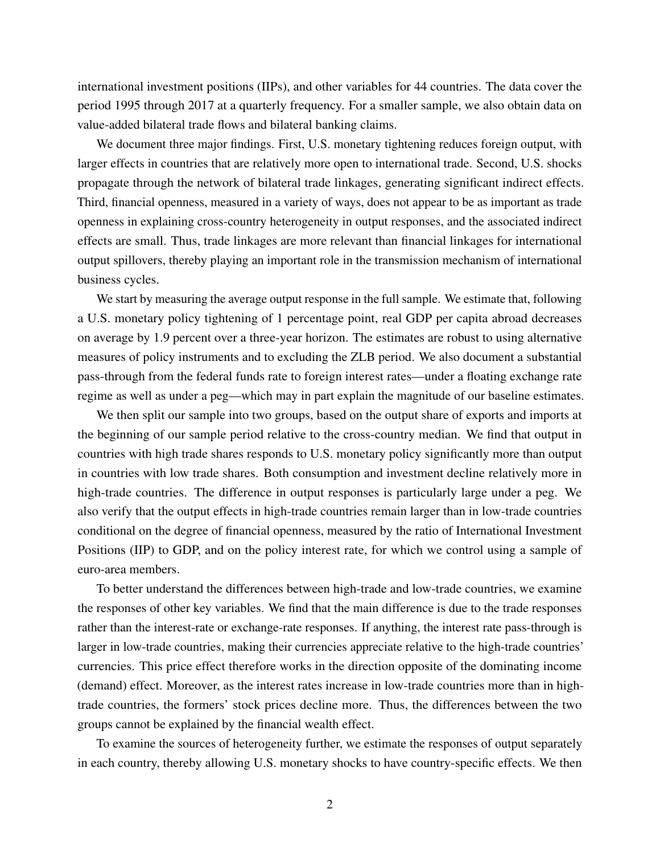international investment positions (IIPs), and other variables for 44 countries. The data cover the period 1995 through 2017 at a quarterly frequency. For a smaller sample, we also obtain data on value-added bilateral trade flows and bilateral banking claims.

We document three major findings. First, U.S. monetary tightening reduces foreign output, with larger effects in countries that are relatively more open to international trade. Second, U.S. shocks propagate through the network of bilateral trade linkages, generating significant indirect effects. Third, financial openness, measured in a variety of ways, does not appear to be as important as trade openness in explaining cross-country heterogeneity in output responses, and the associated indirect effects are small. Thus, trade linkages are more relevant than financial linkages for international output spillovers, thereby playing an important role in the transmission mechanism of international business cycles.

We start by measuring the average output response in the full sample. We estimate that, following a U.S. monetary policy tightening of 1 percentage point, real GDP per capita abroad decreases on average by 1.9 percent over a three-year horizon. The estimates are robust to using alternative measures of policy instruments and to excluding the ZLB period. We also document a substantial pass-through from the federal funds rate to foreign interest rates—under a floating exchange rate regime as well as under a peg—which may in part explain the magnitude of our baseline estimates.

We then split our sample into two groups, based on the output share of exports and imports at the beginning of our sample period relative to the cross-country median. We find that output in countries with high trade shares responds to U.S. monetary policy significantly more than output in countries with low trade shares. Both consumption and investment decline relatively more in high-trade countries. The difference in output responses is particularly large under a peg. We also verify that the output effects in high-trade countries remain larger than in low-trade countries conditional on the degree of financial openness, measured by the ratio of International Investment Positions (IIP) to GDP, and on the policy interest rate, for which we control using a sample of euro-area members.

To better understand the differences between high-trade and low-trade countries, we examine the responses of other key variables. We find that the main difference is due to the trade responses rather than the interest-rate or exchange-rate responses. If anything, the interest rate pass-through is larger in low-trade countries, making their currencies appreciate relative to the high-trade countries' currencies. This price effect therefore works in the direction opposite of the dominating income (demand) effect. Moreover, as the interest rates increase in low-trade countries more than in hightrade countries, the formers' stock prices decline more. Thus, the differences between the two groups cannot be explained by the financial wealth effect.

To examine the sources of heterogeneity further, we estimate the responses of output separately in each country, thereby allowing U.S. monetary shocks to have country-specific effects. We then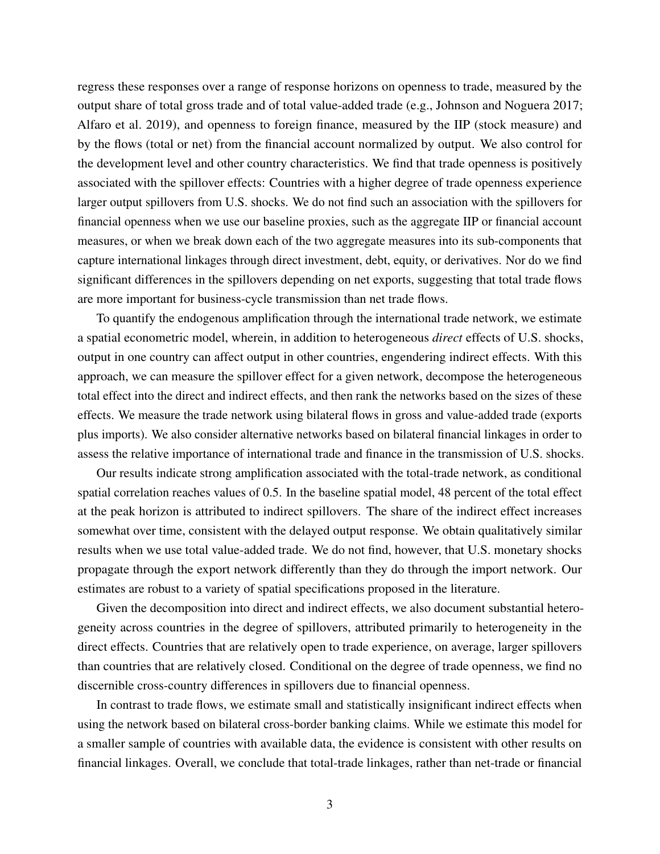regress these responses over a range of response horizons on openness to trade, measured by the output share of total gross trade and of total value-added trade (e.g., [Johnson and Noguera](#page-29-5) [2017;](#page-29-5) [Alfaro et al.](#page-28-2) [2019\)](#page-28-2), and openness to foreign finance, measured by the IIP (stock measure) and by the flows (total or net) from the financial account normalized by output. We also control for the development level and other country characteristics. We find that trade openness is positively associated with the spillover effects: Countries with a higher degree of trade openness experience larger output spillovers from U.S. shocks. We do not find such an association with the spillovers for financial openness when we use our baseline proxies, such as the aggregate IIP or financial account measures, or when we break down each of the two aggregate measures into its sub-components that capture international linkages through direct investment, debt, equity, or derivatives. Nor do we find significant differences in the spillovers depending on net exports, suggesting that total trade flows are more important for business-cycle transmission than net trade flows.

To quantify the endogenous amplification through the international trade network, we estimate a spatial econometric model, wherein, in addition to heterogeneous *direct* effects of U.S. shocks, output in one country can affect output in other countries, engendering indirect effects. With this approach, we can measure the spillover effect for a given network, decompose the heterogeneous total effect into the direct and indirect effects, and then rank the networks based on the sizes of these effects. We measure the trade network using bilateral flows in gross and value-added trade (exports plus imports). We also consider alternative networks based on bilateral financial linkages in order to assess the relative importance of international trade and finance in the transmission of U.S. shocks.

Our results indicate strong amplification associated with the total-trade network, as conditional spatial correlation reaches values of 0.5. In the baseline spatial model, 48 percent of the total effect at the peak horizon is attributed to indirect spillovers. The share of the indirect effect increases somewhat over time, consistent with the delayed output response. We obtain qualitatively similar results when we use total value-added trade. We do not find, however, that U.S. monetary shocks propagate through the export network differently than they do through the import network. Our estimates are robust to a variety of spatial specifications proposed in the literature.

Given the decomposition into direct and indirect effects, we also document substantial heterogeneity across countries in the degree of spillovers, attributed primarily to heterogeneity in the direct effects. Countries that are relatively open to trade experience, on average, larger spillovers than countries that are relatively closed. Conditional on the degree of trade openness, we find no discernible cross-country differences in spillovers due to financial openness.

In contrast to trade flows, we estimate small and statistically insignificant indirect effects when using the network based on bilateral cross-border banking claims. While we estimate this model for a smaller sample of countries with available data, the evidence is consistent with other results on financial linkages. Overall, we conclude that total-trade linkages, rather than net-trade or financial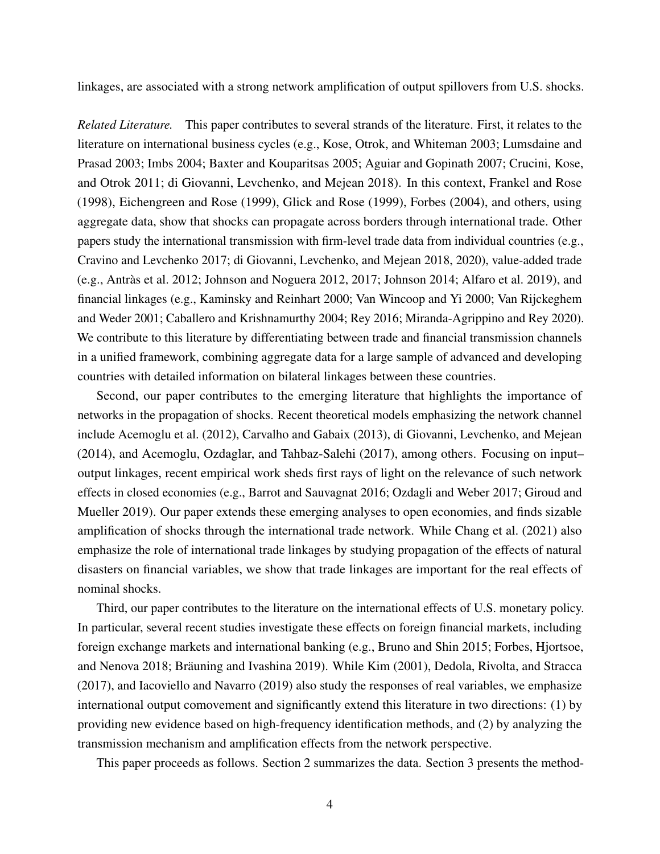linkages, are associated with a strong network amplification of output spillovers from U.S. shocks.

*Related Literature.* This paper contributes to several strands of the literature. First, it relates to the literature on international business cycles (e.g., [Kose, Otrok, and Whiteman](#page-30-0) [2003;](#page-30-0) [Lumsdaine and](#page-30-8) [Prasad](#page-30-8) [2003;](#page-30-8) [Imbs](#page-29-6) [2004;](#page-29-6) [Baxter and Kouparitsas](#page-28-3) [2005;](#page-28-3) [Aguiar and Gopinath](#page-27-0) [2007;](#page-27-0) [Crucini, Kose,](#page-28-4) [and Otrok](#page-28-4) [2011;](#page-28-4) [di Giovanni, Levchenko, and Mejean](#page-28-0) [2018\)](#page-28-0). In this context, [Frankel and Rose](#page-29-2) [\(1998\)](#page-29-2), [Eichengreen and Rose](#page-29-7) [\(1999\)](#page-29-7), [Glick and Rose](#page-29-8) [\(1999\)](#page-29-8), [Forbes](#page-29-3) [\(2004\)](#page-29-3), and others, using aggregate data, show that shocks can propagate across borders through international trade. Other papers study the international transmission with firm-level trade data from individual countries (e.g., [Cravino and Levchenko](#page-28-1) [2017;](#page-28-1) [di Giovanni, Levchenko, and Mejean](#page-28-0) [2018,](#page-28-0) [2020\)](#page-28-5), value-added trade (e.g., [Antràs et al.](#page-28-6) [2012;](#page-28-6) [Johnson and Noguera](#page-29-9) [2012,](#page-29-9) [2017;](#page-29-5) [Johnson](#page-29-10) [2014;](#page-29-10) [Alfaro et al.](#page-28-2) [2019\)](#page-28-2), and financial linkages (e.g., [Kaminsky and Reinhart](#page-30-6) [2000;](#page-30-6) [Van Wincoop and Yi](#page-30-9) [2000;](#page-30-9) [Van Rijckeghem](#page-30-10) [and Weder](#page-30-10) [2001;](#page-30-10) [Caballero and Krishnamurthy](#page-28-7) [2004;](#page-28-7) [Rey](#page-30-11) [2016;](#page-30-11) [Miranda-Agrippino and Rey](#page-30-7) [2020\)](#page-30-7). We contribute to this literature by differentiating between trade and financial transmission channels in a unified framework, combining aggregate data for a large sample of advanced and developing countries with detailed information on bilateral linkages between these countries.

Second, our paper contributes to the emerging literature that highlights the importance of networks in the propagation of shocks. Recent theoretical models emphasizing the network channel include [Acemoglu et al.](#page-27-1) [\(2012\)](#page-27-1), [Carvalho and Gabaix](#page-28-8) [\(2013\)](#page-28-8), [di Giovanni, Levchenko, and Mejean](#page-28-9) [\(2014\)](#page-28-9), and [Acemoglu, Ozdaglar, and Tahbaz-Salehi](#page-27-2) [\(2017\)](#page-27-2), among others. Focusing on input– output linkages, recent empirical work sheds first rays of light on the relevance of such network effects in closed economies (e.g., [Barrot and Sauvagnat](#page-28-10) [2016;](#page-28-10) [Ozdagli and Weber](#page-30-12) [2017;](#page-30-12) [Giroud and](#page-29-11) [Mueller](#page-29-11) [2019\)](#page-29-11). Our paper extends these emerging analyses to open economies, and finds sizable amplification of shocks through the international trade network. While [Chang et al.](#page-28-11) [\(2021\)](#page-28-11) also emphasize the role of international trade linkages by studying propagation of the effects of natural disasters on financial variables, we show that trade linkages are important for the real effects of nominal shocks.

Third, our paper contributes to the literature on the international effects of U.S. monetary policy. In particular, several recent studies investigate these effects on foreign financial markets, including foreign exchange markets and international banking (e.g., [Bruno and Shin](#page-28-12) [2015;](#page-28-12) [Forbes, Hjortsoe,](#page-29-12) [and Nenova](#page-29-12) [2018;](#page-29-12) [Bräuning and Ivashina](#page-28-13) [2019\)](#page-28-13). While [Kim](#page-30-13) [\(2001\)](#page-30-13), [Dedola, Rivolta, and Stracca](#page-28-14) [\(2017\)](#page-28-14), and [Iacoviello and Navarro](#page-29-13) [\(2019\)](#page-29-13) also study the responses of real variables, we emphasize international output comovement and significantly extend this literature in two directions: (1) by providing new evidence based on high-frequency identification methods, and (2) by analyzing the transmission mechanism and amplification effects from the network perspective.

This paper proceeds as follows. Section [2](#page-5-0) summarizes the data. Section [3](#page-6-0) presents the method-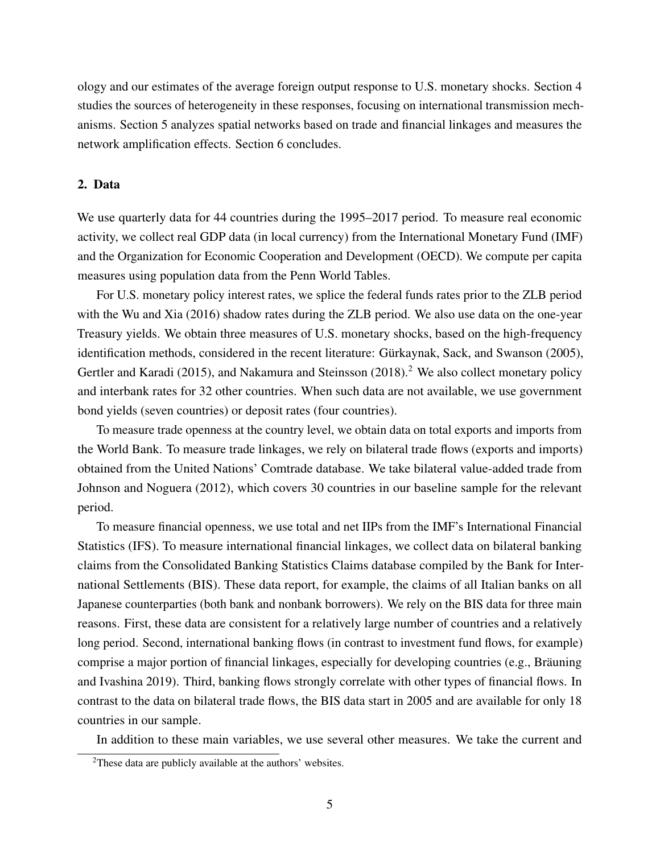ology and our estimates of the average foreign output response to U.S. monetary shocks. Section [4](#page-10-0) studies the sources of heterogeneity in these responses, focusing on international transmission mechanisms. Section [5](#page-16-0) analyzes spatial networks based on trade and financial linkages and measures the network amplification effects. Section [6](#page-27-3) concludes.

# <span id="page-5-0"></span>2. Data

We use quarterly data for 44 countries during the 1995–2017 period. To measure real economic activity, we collect real GDP data (in local currency) from the International Monetary Fund (IMF) and the Organization for Economic Cooperation and Development (OECD). We compute per capita measures using population data from the Penn World Tables.

For U.S. monetary policy interest rates, we splice the federal funds rates prior to the ZLB period with the [Wu and Xia](#page-30-5) [\(2016\)](#page-30-5) shadow rates during the ZLB period. We also use data on the one-year Treasury yields. We obtain three measures of U.S. monetary shocks, based on the high-frequency identification methods, considered in the recent literature: [Gürkaynak, Sack, and Swanson](#page-29-14) [\(2005\)](#page-29-14), [Gertler and Karadi](#page-29-15) [\(2015\)](#page-29-15), and [Nakamura and Steinsson](#page-30-2) [\(2018\)](#page-30-2).<sup>[2](#page-5-1)</sup> We also collect monetary policy and interbank rates for 32 other countries. When such data are not available, we use government bond yields (seven countries) or deposit rates (four countries).

To measure trade openness at the country level, we obtain data on total exports and imports from the World Bank. To measure trade linkages, we rely on bilateral trade flows (exports and imports) obtained from the United Nations' Comtrade database. We take bilateral value-added trade from [Johnson and Noguera](#page-29-9) [\(2012\)](#page-29-9), which covers 30 countries in our baseline sample for the relevant period.

To measure financial openness, we use total and net IIPs from the IMF's International Financial Statistics (IFS). To measure international financial linkages, we collect data on bilateral banking claims from the Consolidated Banking Statistics Claims database compiled by the Bank for International Settlements (BIS). These data report, for example, the claims of all Italian banks on all Japanese counterparties (both bank and nonbank borrowers). We rely on the BIS data for three main reasons. First, these data are consistent for a relatively large number of countries and a relatively long period. Second, international banking flows (in contrast to investment fund flows, for example) comprise a major portion of financial linkages, especially for developing countries (e.g., [Bräuning](#page-28-13) [and Ivashina](#page-28-13) [2019\)](#page-28-13). Third, banking flows strongly correlate with other types of financial flows. In contrast to the data on bilateral trade flows, the BIS data start in 2005 and are available for only 18 countries in our sample.

In addition to these main variables, we use several other measures. We take the current and

<span id="page-5-1"></span><sup>&</sup>lt;sup>2</sup>These data are publicly available at the authors' websites.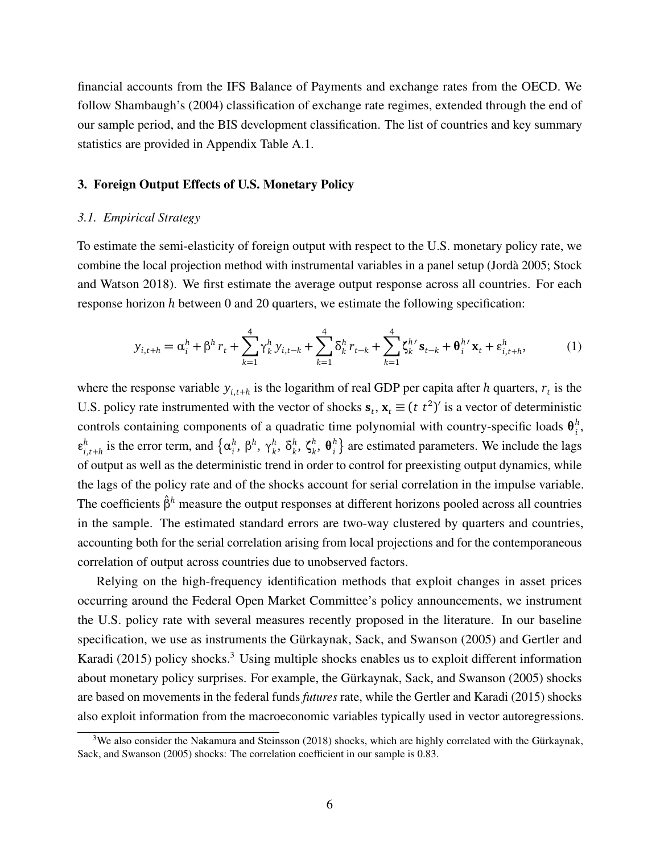financial accounts from the IFS Balance of Payments and exchange rates from the OECD. We follow [Shambaugh'](#page-30-14)s [\(2004\)](#page-30-14) classification of exchange rate regimes, extended through the end of our sample period, and the BIS development classification. The list of countries and key summary statistics are provided in Appendix Table [A.1.](#page-31-0)

# <span id="page-6-0"></span>3. Foreign Output Effects of U.S. Monetary Policy

#### *3.1. Empirical Strategy*

To estimate the semi-elasticity of foreign output with respect to the U.S. monetary policy rate, we combine the local projection method with instrumental variables in a panel setup [\(Jordà](#page-30-3) [2005;](#page-30-3) [Stock](#page-30-4) [and Watson](#page-30-4) [2018\)](#page-30-4). We first estimate the average output response across all countries. For each response horizon *h* between 0 and 20 quarters, we estimate the following specification:

<span id="page-6-2"></span>
$$
y_{i,t+h} = \alpha_i^h + \beta^h r_t + \sum_{k=1}^4 \gamma_k^h y_{i,t-k} + \sum_{k=1}^4 \delta_k^h r_{t-k} + \sum_{k=1}^4 \zeta_k^{h'} s_{t-k} + \theta_i^{h'} x_t + \varepsilon_{i,t+h}^h,
$$
(1)

where the response variable  $y_{i,t+h}$  is the logarithm of real GDP per capita after *h* quarters,  $r_t$  is the U.S. policy rate instrumented with the vector of shocks  $\mathbf{s}_t$ ,  $\mathbf{x}_t \equiv (t \ t^2)'$  is a vector of deterministic controls containing components of a quadratic time polynomial with country-specific loads  $\theta_i^h$ *i* ,  $\varepsilon_i^h$  $a_{i,t+h}^h$  is the error term, and  $\{\alpha_i^h\}$ *i* , *β h* , *γ h k* , *δ h k* , *ζ h k* , *θ h*  $\binom{h}{i}$  are estimated parameters. We include the lags of output as well as the deterministic trend in order to control for preexisting output dynamics, while the lags of the policy rate and of the shocks account for serial correlation in the impulse variable. The coefficients *β*ˆ*<sup>h</sup>* measure the output responses at different horizons pooled across all countries in the sample. The estimated standard errors are two-way clustered by quarters and countries, accounting both for the serial correlation arising from local projections and for the contemporaneous correlation of output across countries due to unobserved factors.

Relying on the high-frequency identification methods that exploit changes in asset prices occurring around the Federal Open Market Committee's policy announcements, we instrument the U.S. policy rate with several measures recently proposed in the literature. In our baseline specification, we use as instruments the [Gürkaynak, Sack, and Swanson](#page-29-14) [\(2005\)](#page-29-14) and [Gertler and](#page-29-15) [Karadi](#page-29-15) [\(2015\)](#page-29-15) policy shocks.<sup>[3](#page-6-1)</sup> Using multiple shocks enables us to exploit different information about monetary policy surprises. For example, the [Gürkaynak, Sack, and Swanson](#page-29-14) [\(2005\)](#page-29-14) shocks are based on movements in the federal funds *futures* rate, while the [Gertler and Karadi](#page-29-15) [\(2015\)](#page-29-15) shocks also exploit information from the macroeconomic variables typically used in vector autoregressions.

<span id="page-6-1"></span><sup>&</sup>lt;sup>3</sup>We also consider the [Nakamura and Steinsson](#page-30-2) [\(2018\)](#page-30-2) shocks, which are highly correlated with the [Gürkaynak,](#page-29-14) [Sack, and Swanson](#page-29-14) [\(2005\)](#page-29-14) shocks: The correlation coefficient in our sample is 0.83.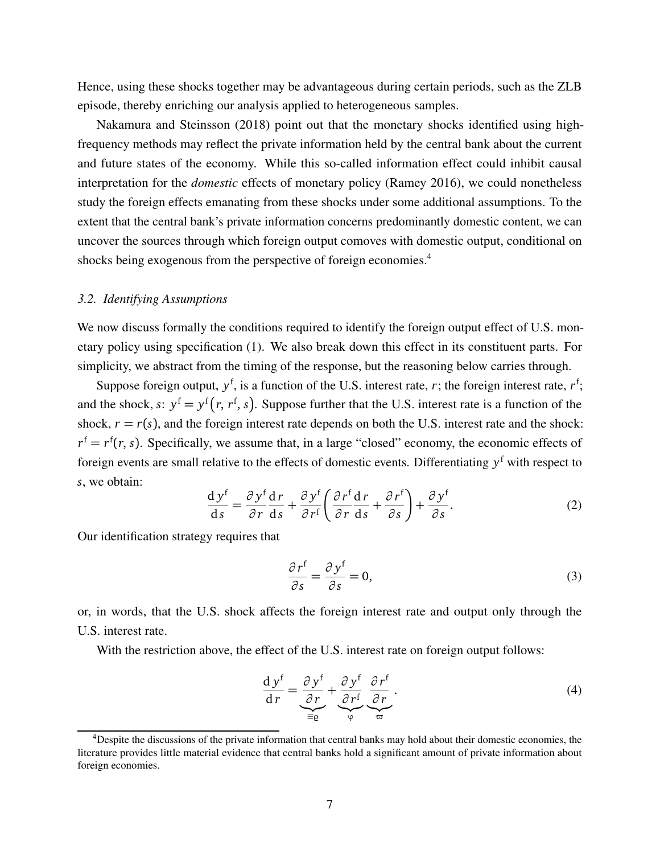Hence, using these shocks together may be advantageous during certain periods, such as the ZLB episode, thereby enriching our analysis applied to heterogeneous samples.

[Nakamura and Steinsson](#page-30-2) [\(2018\)](#page-30-2) point out that the monetary shocks identified using highfrequency methods may reflect the private information held by the central bank about the current and future states of the economy. While this so-called information effect could inhibit causal interpretation for the *domestic* effects of monetary policy [\(Ramey](#page-30-15) [2016\)](#page-30-15), we could nonetheless study the foreign effects emanating from these shocks under some additional assumptions. To the extent that the central bank's private information concerns predominantly domestic content, we can uncover the sources through which foreign output comoves with domestic output, conditional on shocks being exogenous from the perspective of foreign economies.<sup>[4](#page-7-0)</sup>

#### *3.2. Identifying Assumptions*

We now discuss formally the conditions required to identify the foreign output effect of U.S. monetary policy using specification [\(1\)](#page-6-2). We also break down this effect in its constituent parts. For simplicity, we abstract from the timing of the response, but the reasoning below carries through.

Suppose foreign output,  $y^f$ , is a function of the U.S. interest rate, *r*; the foreign interest rate,  $r^f$ ; and the shock, *s*:  $y^f = y^f(r, r^f, s)$ . Suppose further that the U.S. interest rate is a function of the shock,  $r = r(s)$ , and the foreign interest rate depends on both the U.S. interest rate and the shock:  $r<sup>f</sup> = r<sup>f</sup>(r, s)$ . Specifically, we assume that, in a large "closed" economy, the economic effects of foreign events are small relative to the effects of domestic events. Differentiating *y* <sup>f</sup> with respect to *s*, we obtain:

<span id="page-7-1"></span>
$$
\frac{dy^f}{ds} = \frac{\partial y^f}{\partial r}\frac{dr}{ds} + \frac{\partial y^f}{\partial r^f}\left(\frac{\partial r^f}{\partial r}\frac{dr}{ds} + \frac{\partial r^f}{\partial s}\right) + \frac{\partial y^f}{\partial s}.
$$
(2)

Our identification strategy requires that

<span id="page-7-2"></span>
$$
\frac{\partial \, r^{\mathrm{f}}}{\partial s} = \frac{\partial \, y^{\mathrm{f}}}{\partial s} = 0,\tag{3}
$$

or, in words, that the U.S. shock affects the foreign interest rate and output only through the U.S. interest rate.

With the restriction above, the effect of the U.S. interest rate on foreign output follows:

<span id="page-7-3"></span>
$$
\frac{d y^f}{dr} = \underbrace{\frac{\partial y^f}{\partial r}}_{\equiv \varrho} + \underbrace{\frac{\partial y^f}{\partial r^f}}_{\varphi} \underbrace{\frac{\partial r^f}{\partial r}}_{\varpi}.
$$
\n(4)

<span id="page-7-0"></span><sup>&</sup>lt;sup>4</sup>Despite the discussions of the private information that central banks may hold about their domestic economies, the literature provides little material evidence that central banks hold a significant amount of private information about foreign economies.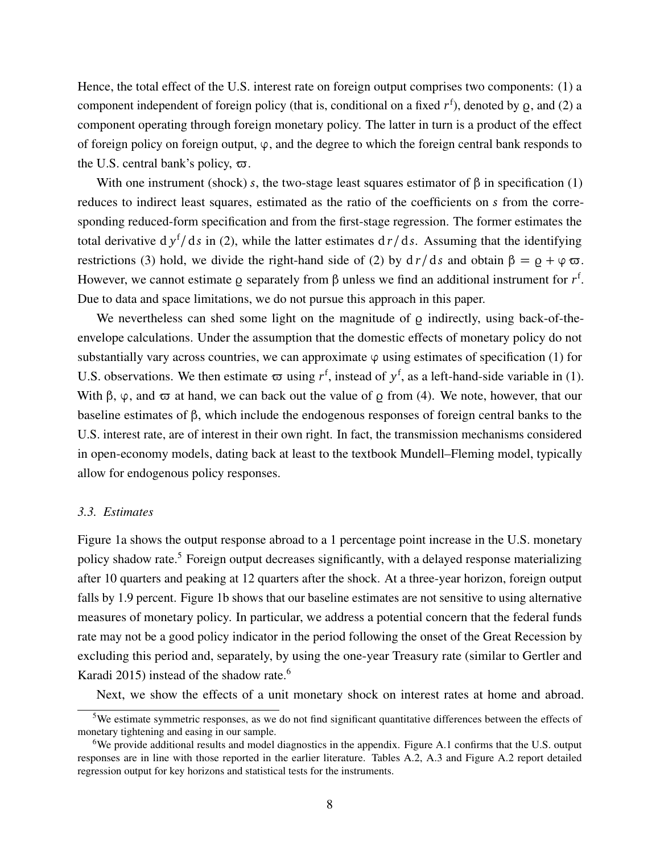Hence, the total effect of the U.S. interest rate on foreign output comprises two components: (1) a component independent of foreign policy (that is, conditional on a fixed  $r^f$ ), denoted by  $g$ , and (2) a component operating through foreign monetary policy. The latter in turn is a product of the effect of foreign policy on foreign output, *ϕ*, and the degree to which the foreign central bank responds to the U.S. central bank's policy,  $\varpi$ .

With one instrument (shock) *s*, the two-stage least squares estimator of  $\beta$  in specification [\(1\)](#page-6-2) reduces to indirect least squares, estimated as the ratio of the coefficients on *s* from the corresponding reduced-form specification and from the first-stage regression. The former estimates the total derivative d *y* f */*d*s* in [\(2\)](#page-7-1), while the latter estimates d *r/*d*s*. Assuming that the identifying restrictions [\(3\)](#page-7-2) hold, we divide the right-hand side of [\(2\)](#page-7-1) by  $dr/ds$  and obtain  $β = ρ + φ σ$ . However, we cannot estimate *ρ* separately from β unless we find an additional instrument for *r*<sup>f</sup>. Due to data and space limitations, we do not pursue this approach in this paper.

We nevertheless can shed some light on the magnitude of  $\varrho$  indirectly, using back-of-theenvelope calculations. Under the assumption that the domestic effects of monetary policy do not substantially vary across countries, we can approximate  $\varphi$  using estimates of specification [\(1\)](#page-6-2) for U.S. observations. We then estimate  $\varpi$  using  $r^f$ , instead of  $y^f$ , as a left-hand-side variable in [\(1\)](#page-6-2). With β,  $\varphi$ , and  $\varpi$  at hand, we can back out the value of *\omeg* from [\(4\)](#page-7-3). We note, however, that our baseline estimates of *β*, which include the endogenous responses of foreign central banks to the U.S. interest rate, are of interest in their own right. In fact, the transmission mechanisms considered in open-economy models, dating back at least to the textbook Mundell–Fleming model, typically allow for endogenous policy responses.

#### *3.3. Estimates*

Figure [1a](#page-9-0) shows the output response abroad to a 1 percentage point increase in the U.S. monetary policy shadow rate.<sup>[5](#page-8-0)</sup> Foreign output decreases significantly, with a delayed response materializing after 10 quarters and peaking at 12 quarters after the shock. At a three-year horizon, foreign output falls by 1.9 percent. Figure [1b](#page-9-0) shows that our baseline estimates are not sensitive to using alternative measures of monetary policy. In particular, we address a potential concern that the federal funds rate may not be a good policy indicator in the period following the onset of the Great Recession by excluding this period and, separately, by using the one-year Treasury rate (similar to [Gertler and](#page-29-15) [Karadi](#page-29-15) [2015\)](#page-29-15) instead of the shadow rate.<sup>[6](#page-8-1)</sup>

Next, we show the effects of a unit monetary shock on interest rates at home and abroad.

<span id="page-8-0"></span><sup>&</sup>lt;sup>5</sup>We estimate symmetric responses, as we do not find significant quantitative differences between the effects of monetary tightening and easing in our sample.

<span id="page-8-1"></span><sup>&</sup>lt;sup>6</sup>We provide additional results and model diagnostics in the appendix. Figure [A.1](#page-32-0) confirms that the U.S. output responses are in line with those reported in the earlier literature. Tables [A.2,](#page-32-1) [A.3](#page-33-0) and Figure [A.2](#page-33-1) report detailed regression output for key horizons and statistical tests for the instruments.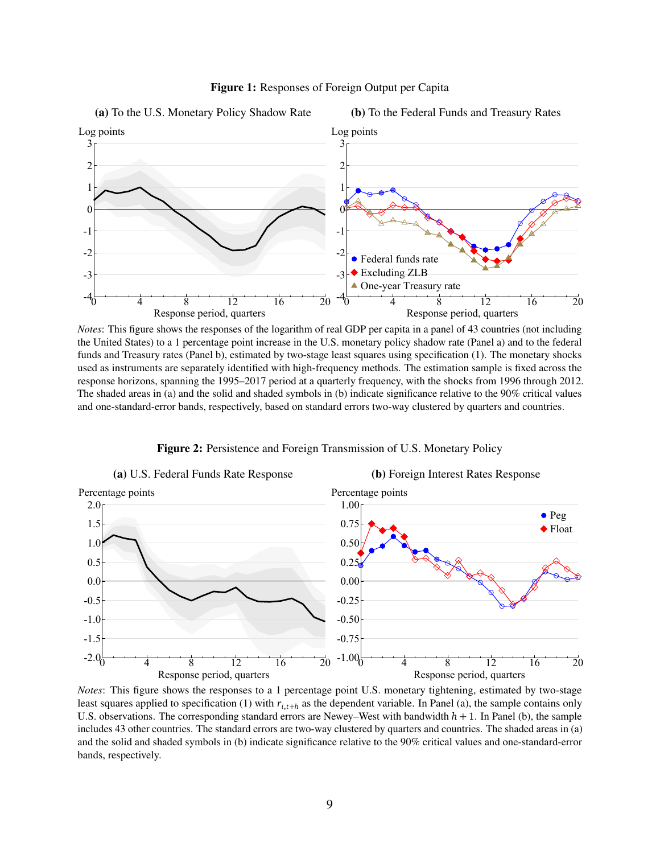<span id="page-9-0"></span>

Figure 1: Responses of Foreign Output per Capita

*Notes*: This figure shows the responses of the logarithm of real GDP per capita in a panel of 43 countries (not including the United States) to a 1 percentage point increase in the U.S. monetary policy shadow rate (Panel a) and to the federal funds and Treasury rates (Panel b), estimated by two-stage least squares using specification [\(1\)](#page-6-2). The monetary shocks used as instruments are separately identified with high-frequency methods. The estimation sample is fixed across the response horizons, spanning the 1995–2017 period at a quarterly frequency, with the shocks from 1996 through 2012. The shaded areas in (a) and the solid and shaded symbols in (b) indicate significance relative to the 90% critical values and one-standard-error bands, respectively, based on standard errors two-way clustered by quarters and countries.

Figure 2: Persistence and Foreign Transmission of U.S. Monetary Policy

<span id="page-9-1"></span>

*Notes*: This figure shows the responses to a 1 percentage point U.S. monetary tightening, estimated by two-stage least squares applied to specification [\(1\)](#page-6-2) with *ri*,*t*+*<sup>h</sup>* as the dependent variable. In Panel (a), the sample contains only U.S. observations. The corresponding standard errors are Newey–West with bandwidth *h* + 1. In Panel (b), the sample includes 43 other countries. The standard errors are two-way clustered by quarters and countries. The shaded areas in (a) and the solid and shaded symbols in (b) indicate significance relative to the 90% critical values and one-standard-error bands, respectively.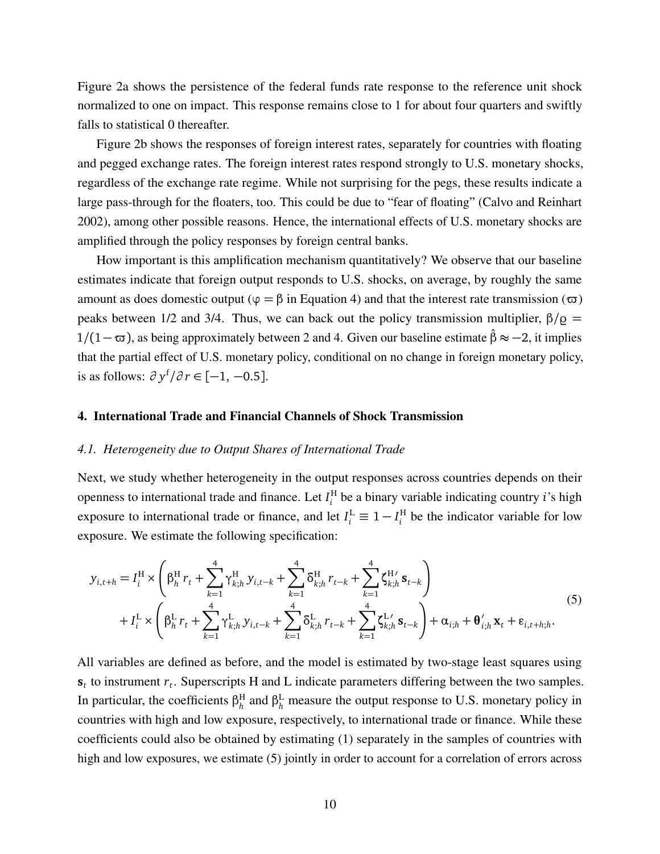Figure [2a](#page-9-1) shows the persistence of the federal funds rate response to the reference unit shock normalized to one on impact. This response remains close to 1 for about four quarters and swiftly falls to statistical 0 thereafter.

Figure [2b](#page-9-1) shows the responses of foreign interest rates, separately for countries with floating and pegged exchange rates. The foreign interest rates respond strongly to U.S. monetary shocks, regardless of the exchange rate regime. While not surprising for the pegs, these results indicate a large pass-through for the floaters, too. This could be due to "fear of floating" [\(Calvo and Reinhart](#page-28-15) [2002\)](#page-28-15), among other possible reasons. Hence, the international effects of U.S. monetary shocks are amplified through the policy responses by foreign central banks.

How important is this amplification mechanism quantitatively? We observe that our baseline estimates indicate that foreign output responds to U.S. shocks, on average, by roughly the same amount as does domestic output ( $\varphi = \beta$  in Equation [4\)](#page-7-3) and that the interest rate transmission ( $\varpi$ ) peaks between 1/2 and 3/4. Thus, we can back out the policy transmission multiplier,  $β/Q$  = 1/(1− $\sigma$ ), as being approximately between 2 and 4. Given our baseline estimate  $\hat{\beta}$  ≈ −2, it implies that the partial effect of U.S. monetary policy, conditional on no change in foreign monetary policy, is as follows: *∂ y* f */∂ r* ∈ [−1, −0.5].

#### <span id="page-10-0"></span>4. International Trade and Financial Channels of Shock Transmission

#### *4.1. Heterogeneity due to Output Shares of International Trade*

Next, we study whether heterogeneity in the output responses across countries depends on their openness to international trade and finance. Let  $I_i^{\text{H}}$ *i* be a binary variable indicating country *i*'s high exposure to international trade or finance, and let  $I_i^{\text{L}} \equiv 1 - I_i^{\text{H}}$  $i<sup>H</sup>$  be the indicator variable for low exposure. We estimate the following specification:

<span id="page-10-1"></span>
$$
y_{i,t+h} = I_i^H \times \left( \beta_h^H r_t + \sum_{k=1}^4 \gamma_{k,h}^H y_{i,t-k} + \sum_{k=1}^4 \delta_{k,h}^H r_{t-k} + \sum_{k=1}^4 \zeta_{k,h}^{H'} s_{t-k} \right) + I_i^L \times \left( \beta_h^L r_t + \sum_{k=1}^4 \gamma_{k,h}^L y_{i,t-k} + \sum_{k=1}^4 \delta_{k,h}^L r_{t-k} + \sum_{k=1}^4 \zeta_{k,h}^{L'} s_{t-k} \right) + \alpha_{i,h} + \theta'_{i,h} x_t + \varepsilon_{i,t+h,h}.
$$
(5)

All variables are defined as before, and the model is estimated by two-stage least squares using  $s_t$  to instrument  $r_t$ . Superscripts H and L indicate parameters differing between the two samples. In particular, the coefficients  $β<sub>h</sub><sup>H</sup>$  $h_h$ <sup>H</sup> and β<sup>L</sup><sub>h</sub> measure the output response to U.S. monetary policy in countries with high and low exposure, respectively, to international trade or finance. While these coefficients could also be obtained by estimating [\(1\)](#page-6-2) separately in the samples of countries with high and low exposures, we estimate [\(5\)](#page-10-1) jointly in order to account for a correlation of errors across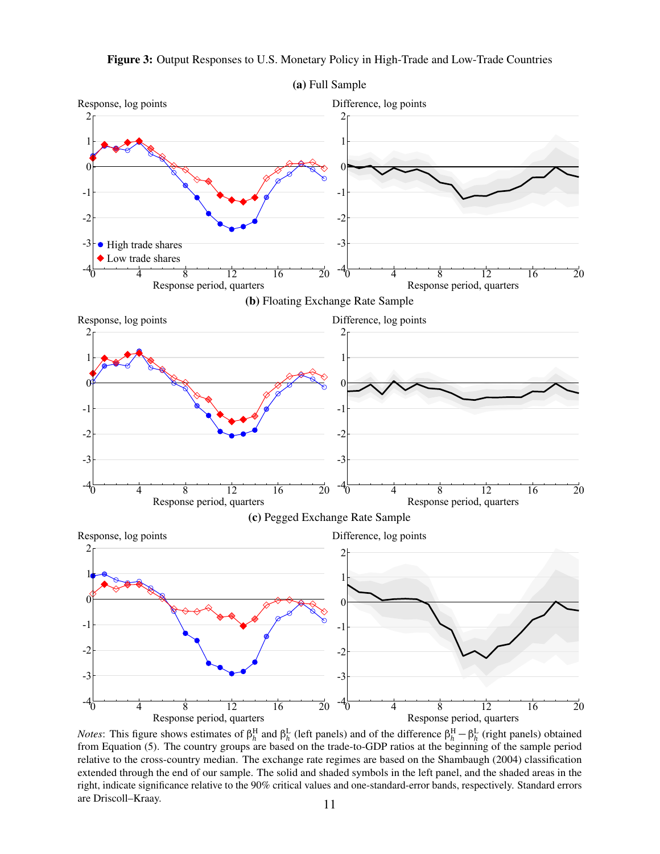<span id="page-11-0"></span>

Figure 3: Output Responses to U.S. Monetary Policy in High-Trade and Low-Trade Countries

*Notes*: This figure shows estimates of  $\beta_h^H$  and  $\beta_h^L$  (left panels) and of the difference  $\beta_h^H - \beta_h^L$  (right panels) obtained from Equation [\(5\)](#page-10-1). The country groups are based on the trade-to-GDP ratios at the beginning of the sample period relative to the cross-country median. The exchange rate regimes are based on the [Shambaugh](#page-30-14) [\(2004\)](#page-30-14) classification extended through the end of our sample. The solid and shaded symbols in the left panel, and the shaded areas in the right, indicate significance relative to the 90% critical values and one-standard-error bands, respectively. Standard errors are Driscoll–Kraay. 11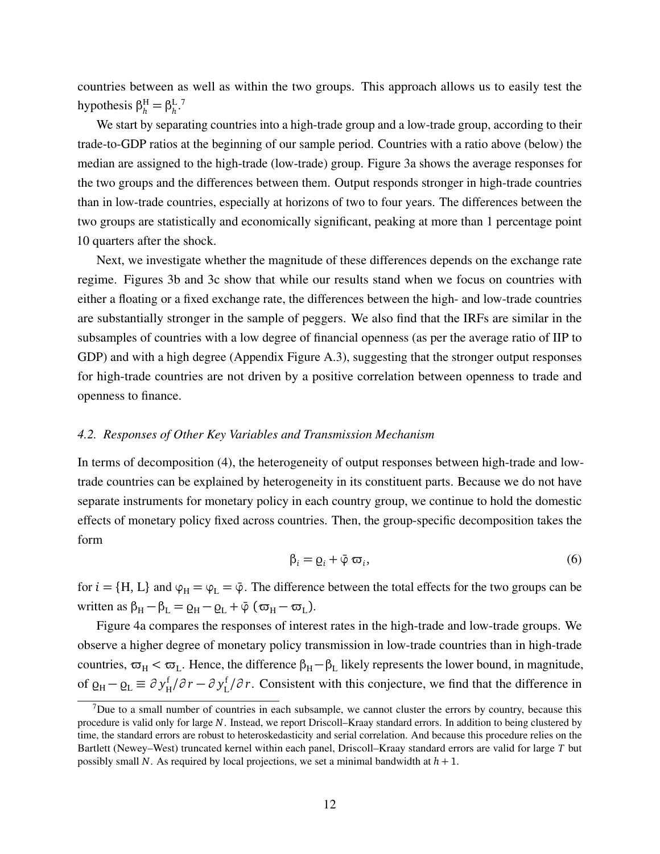countries between as well as within the two groups. This approach allows us to easily test the hypothesis  $\beta_h^H = \beta_h^L$ *h* . [7](#page-12-0)

We start by separating countries into a high-trade group and a low-trade group, according to their trade-to-GDP ratios at the beginning of our sample period. Countries with a ratio above (below) the median are assigned to the high-trade (low-trade) group. Figure [3a](#page-11-0) shows the average responses for the two groups and the differences between them. Output responds stronger in high-trade countries than in low-trade countries, especially at horizons of two to four years. The differences between the two groups are statistically and economically significant, peaking at more than 1 percentage point 10 quarters after the shock.

Next, we investigate whether the magnitude of these differences depends on the exchange rate regime. Figures [3b](#page-11-0) and [3c](#page-11-0) show that while our results stand when we focus on countries with either a floating or a fixed exchange rate, the differences between the high- and low-trade countries are substantially stronger in the sample of peggers. We also find that the IRFs are similar in the subsamples of countries with a low degree of financial openness (as per the average ratio of IIP to GDP) and with a high degree (Appendix Figure [A.3\)](#page-34-0), suggesting that the stronger output responses for high-trade countries are not driven by a positive correlation between openness to trade and openness to finance.

# *4.2. Responses of Other Key Variables and Transmission Mechanism*

In terms of decomposition [\(4\)](#page-7-3), the heterogeneity of output responses between high-trade and lowtrade countries can be explained by heterogeneity in its constituent parts. Because we do not have separate instruments for monetary policy in each country group, we continue to hold the domestic effects of monetary policy fixed across countries. Then, the group-specific decomposition takes the form

$$
\beta_i = \varrho_i + \bar{\varphi} \,\varpi_i,\tag{6}
$$

for  $i = \{H, L\}$  and  $\varphi_H = \varphi_L = \bar{\varphi}$ . The difference between the total effects for the two groups can be written as  $β$ <sub>H</sub> −  $β$ <sub>L</sub> =  $Q$ <sub>H</sub> −  $Q$ <sub>L</sub> +  $\bar{φ}$  ( $σ$ <sub>H</sub> −  $σ$ <sub>L</sub>).

Figure [4a](#page-13-0) compares the responses of interest rates in the high-trade and low-trade groups. We observe a higher degree of monetary policy transmission in low-trade countries than in high-trade countries,  $\varpi_H < \varpi_L$ . Hence, the difference  $\beta_H - \beta_L$  likely represents the lower bound, in magnitude, of  $\varrho_H - \varrho_L \equiv \partial y^f$ H */∂ r* − *∂ y* f L */∂ r*. Consistent with this conjecture, we find that the difference in

<span id="page-12-0"></span>The to a small number of countries in each subsample, we cannot cluster the errors by country, because this procedure is valid only for large *N*. Instead, we report Driscoll–Kraay standard errors. In addition to being clustered by time, the standard errors are robust to heteroskedasticity and serial correlation. And because this procedure relies on the Bartlett (Newey–West) truncated kernel within each panel, Driscoll–Kraay standard errors are valid for large *T* but possibly small *N*. As required by local projections, we set a minimal bandwidth at *h* + 1.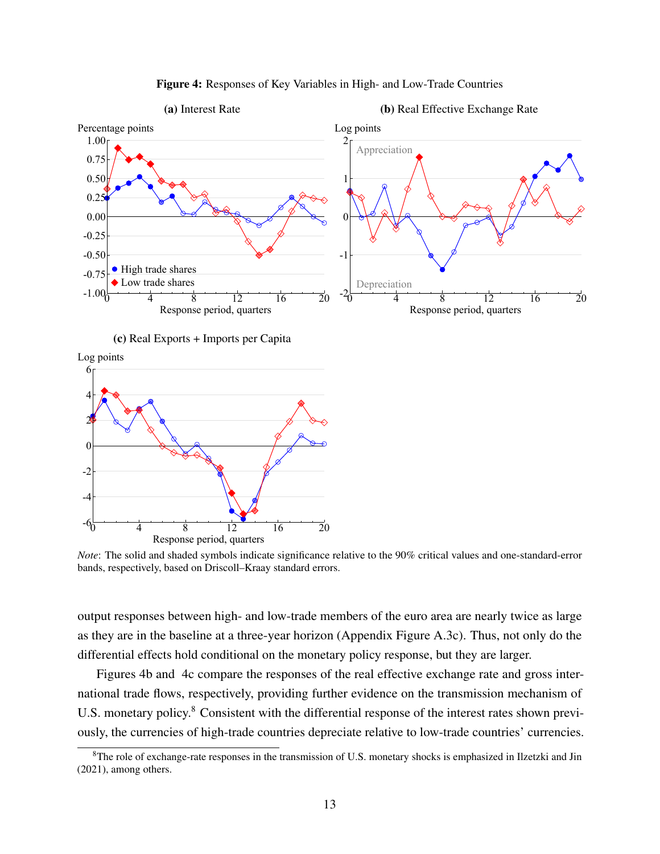<span id="page-13-0"></span>



(c) Real Exports + Imports per Capita

Log points



*Note*: The solid and shaded symbols indicate significance relative to the 90% critical values and one-standard-error bands, respectively, based on Driscoll–Kraay standard errors.

output responses between high- and low-trade members of the euro area are nearly twice as large as they are in the baseline at a three-year horizon (Appendix Figure [A.3c\)](#page-34-0). Thus, not only do the differential effects hold conditional on the monetary policy response, but they are larger.

Figures [4b](#page-13-0) and [4c](#page-13-0) compare the responses of the real effective exchange rate and gross international trade flows, respectively, providing further evidence on the transmission mechanism of U.S. monetary policy.<sup>[8](#page-13-1)</sup> Consistent with the differential response of the interest rates shown previously, the currencies of high-trade countries depreciate relative to low-trade countries' currencies.

<span id="page-13-1"></span><sup>&</sup>lt;sup>8</sup>The role of exchange-rate responses in the transmission of U.S. monetary shocks is emphasized in [Ilzetzki and Jin](#page-29-16) [\(2021\)](#page-29-16), among others.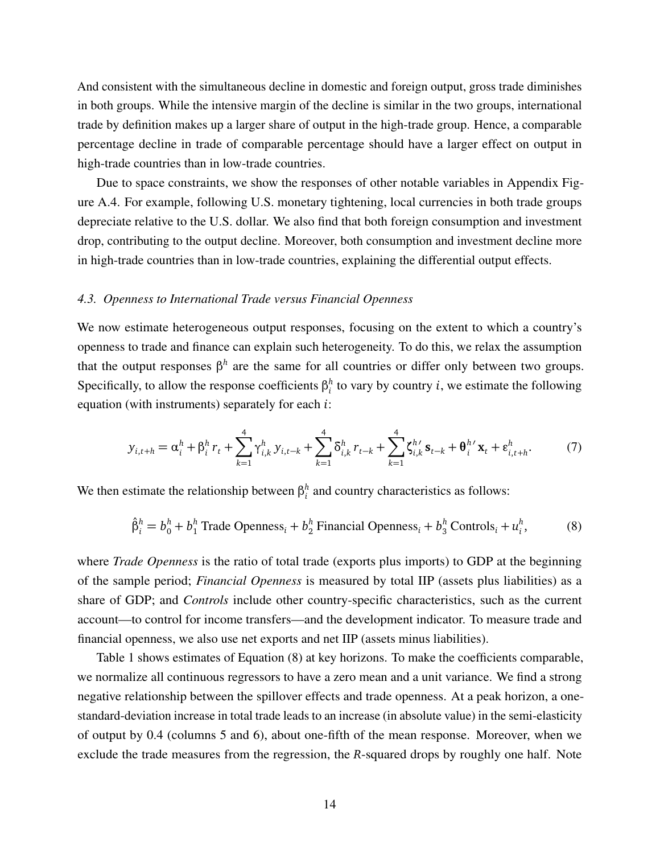And consistent with the simultaneous decline in domestic and foreign output, gross trade diminishes in both groups. While the intensive margin of the decline is similar in the two groups, international trade by definition makes up a larger share of output in the high-trade group. Hence, a comparable percentage decline in trade of comparable percentage should have a larger effect on output in high-trade countries than in low-trade countries.

Due to space constraints, we show the responses of other notable variables in Appendix Figure [A.4.](#page-35-0) For example, following U.S. monetary tightening, local currencies in both trade groups depreciate relative to the U.S. dollar. We also find that both foreign consumption and investment drop, contributing to the output decline. Moreover, both consumption and investment decline more in high-trade countries than in low-trade countries, explaining the differential output effects.

#### *4.3. Openness to International Trade versus Financial Openness*

We now estimate heterogeneous output responses, focusing on the extent to which a country's openness to trade and finance can explain such heterogeneity. To do this, we relax the assumption that the output responses  $\beta^h$  are the same for all countries or differ only between two groups. Specifically, to allow the response coefficients  $β_i^h$  $i<sub>i</sub>$  to vary by country *i*, we estimate the following equation (with instruments) separately for each *i*:

<span id="page-14-1"></span>
$$
y_{i,t+h} = \alpha_i^h + \beta_i^h r_t + \sum_{k=1}^4 \gamma_{i,k}^h y_{i,t-k} + \sum_{k=1}^4 \delta_{i,k}^h r_{t-k} + \sum_{k=1}^4 \zeta_{i,k}^{h'} s_{t-k} + \theta_i^{h'} x_t + \varepsilon_{i,t+h}^h.
$$
 (7)

We then estimate the relationship between  $\beta_i^h$  $i<sub>i</sub><sup>h</sup>$  and country characteristics as follows:

<span id="page-14-0"></span>
$$
\hat{\beta}_i^h = b_0^h + b_1^h \text{ Trade Openness}_i + b_2^h \text{Financial Openness}_i + b_3^h \text{ Controls}_i + u_i^h, \tag{8}
$$

where *Trade Openness* is the ratio of total trade (exports plus imports) to GDP at the beginning of the sample period; *Financial Openness* is measured by total IIP (assets plus liabilities) as a share of GDP; and *Controls* include other country-specific characteristics, such as the current account—to control for income transfers—and the development indicator. To measure trade and financial openness, we also use net exports and net IIP (assets minus liabilities).

Table [1](#page-15-0) shows estimates of Equation [\(8\)](#page-14-0) at key horizons. To make the coefficients comparable, we normalize all continuous regressors to have a zero mean and a unit variance. We find a strong negative relationship between the spillover effects and trade openness. At a peak horizon, a onestandard-deviation increase in total trade leads to an increase (in absolute value) in the semi-elasticity of output by 0.4 (columns 5 and 6), about one-fifth of the mean response. Moreover, when we exclude the trade measures from the regression, the *R*-squared drops by roughly one half. Note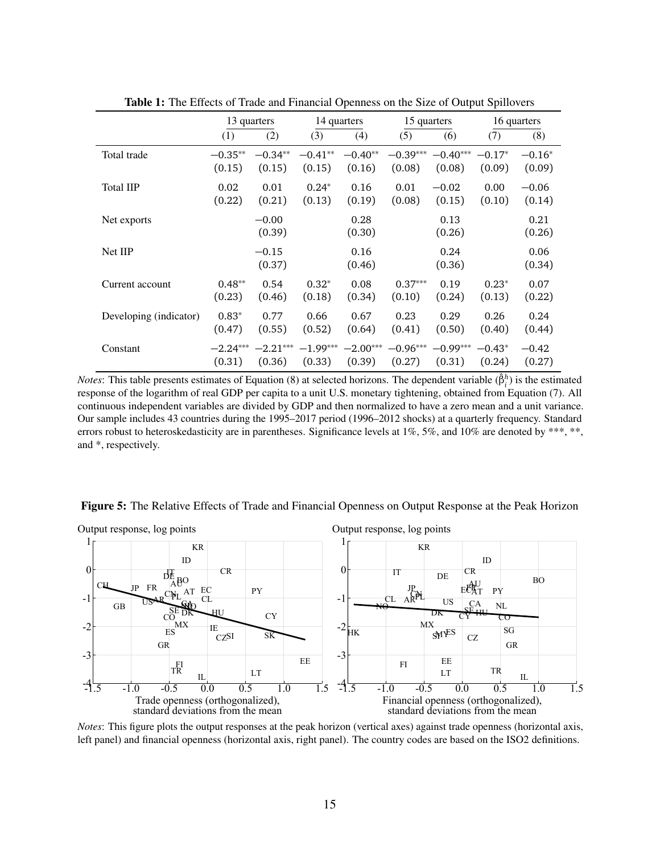<span id="page-15-0"></span>

|                        | 13 quarters |                   |            | 14 quarters    |            | 15 quarters    |          | 16 quarters    |
|------------------------|-------------|-------------------|------------|----------------|------------|----------------|----------|----------------|
|                        | (1)         | (2)               | (3)        | (4)            | (5)        | (6)            | (7)      | (8)            |
| Total trade            | $-0.35**$   | $-0.34**$         | $-0.41**$  | $-0.40**$      | $-0.39***$ | $-0.40***$     | $-0.17*$ | $-0.16*$       |
|                        | (0.15)      | (0.15)            | (0.15)     | (0.16)         | (0.08)     | (0.08)         | (0.09)   | (0.09)         |
| <b>Total IIP</b>       | 0.02        | 0.01              | $0.24*$    | 0.16           | 0.01       | $-0.02$        | 0.00     | $-0.06$        |
|                        | (0.22)      | (0.21)            | (0.13)     | (0.19)         | (0.08)     | (0.15)         | (0.10)   | (0.14)         |
| Net exports            |             | $-0.00$<br>(0.39) |            | 0.28<br>(0.30) |            | 0.13<br>(0.26) |          | 0.21<br>(0.26) |
| Net IIP                |             | $-0.15$<br>(0.37) |            | 0.16<br>(0.46) |            | 0.24<br>(0.36) |          | 0.06<br>(0.34) |
| Current account        | $0.48**$    | 0.54              | $0.32*$    | 0.08           | $0.37***$  | 0.19           | $0.23*$  | 0.07           |
|                        | (0.23)      | (0.46)            | (0.18)     | (0.34)         | (0.10)     | (0.24)         | (0.13)   | (0.22)         |
| Developing (indicator) | $0.83*$     | 0.77              | 0.66       | 0.67           | 0.23       | 0.29           | 0.26     | 0.24           |
|                        | (0.47)      | (0.55)            | (0.52)     | (0.64)         | (0.41)     | (0.50)         | (0.40)   | (0.44)         |
| Constant               | $-2.24***$  | $-2.21***$        | $-1.99***$ | $-2.00***$     | $-0.96***$ | $-0.99***$     | $-0.43*$ | $-0.42$        |
|                        | (0.31)      | (0.36)            | (0.33)     | (0.39)         | (0.27)     | (0.31)         | (0.24)   | (0.27)         |

Table 1: The Effects of Trade and Financial Openness on the Size of Output Spillovers

*Notes*: This table presents estimates of Equation [\(8\)](#page-14-0) at selected horizons. The dependent variable ( $\hat{\beta}_i^h$ ) is the estimated response of the logarithm of real GDP per capita to a unit U.S. monetary tightening, obtained from Equation [\(7\)](#page-14-1). All continuous independent variables are divided by GDP and then normalized to have a zero mean and a unit variance. Our sample includes 43 countries during the 1995–2017 period (1996–2012 shocks) at a quarterly frequency. Standard errors robust to heteroskedasticity are in parentheses. Significance levels at 1%, 5%, and 10% are denoted by \*\*\*, \*\*, and \*, respectively.

<span id="page-15-1"></span>



*Notes*: This figure plots the output responses at the peak horizon (vertical axes) against trade openness (horizontal axis, left panel) and financial openness (horizontal axis, right panel). The country codes are based on the ISO2 definitions.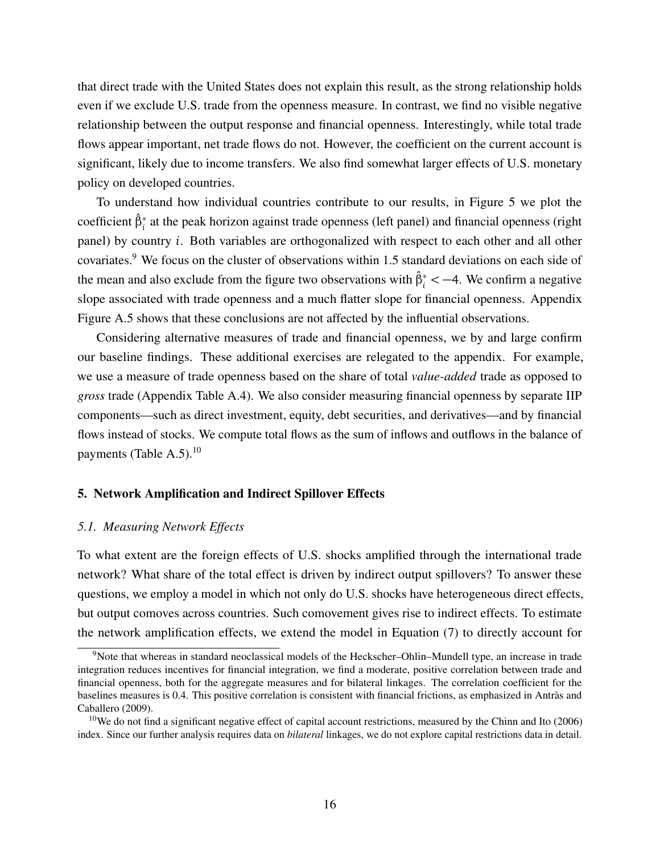that direct trade with the United States does not explain this result, as the strong relationship holds even if we exclude U.S. trade from the openness measure. In contrast, we find no visible negative relationship between the output response and financial openness. Interestingly, while total trade flows appear important, net trade flows do not. However, the coefficient on the current account is significant, likely due to income transfers. We also find somewhat larger effects of U.S. monetary policy on developed countries.

To understand how individual countries contribute to our results, in Figure [5](#page-15-1) we plot the coefficient *β*ˆ<sup>∗</sup> *i* at the peak horizon against trade openness (left panel) and financial openness (right panel) by country *i*. Both variables are orthogonalized with respect to each other and all other covariates.[9](#page-16-1) We focus on the cluster of observations within 1.5 standard deviations on each side of the mean and also exclude from the figure two observations with *β*ˆ<sup>∗</sup> *<sup>i</sup> <sup>&</sup>lt;* <sup>−</sup>4. We confirm a negative slope associated with trade openness and a much flatter slope for financial openness. Appendix Figure [A.5](#page-36-0) shows that these conclusions are not affected by the influential observations.

Considering alternative measures of trade and financial openness, we by and large confirm our baseline findings. These additional exercises are relegated to the appendix. For example, we use a measure of trade openness based on the share of total *value-added* trade as opposed to *gross* trade (Appendix Table [A.4\)](#page-36-1). We also consider measuring financial openness by separate IIP components—such as direct investment, equity, debt securities, and derivatives—and by financial flows instead of stocks. We compute total flows as the sum of inflows and outflows in the balance of payments (Table [A.5\)](#page-37-0). $^{10}$  $^{10}$  $^{10}$ 

## <span id="page-16-0"></span>5. Network Amplification and Indirect Spillover Effects

#### *5.1. Measuring Network Effects*

To what extent are the foreign effects of U.S. shocks amplified through the international trade network? What share of the total effect is driven by indirect output spillovers? To answer these questions, we employ a model in which not only do U.S. shocks have heterogeneous direct effects, but output comoves across countries. Such comovement gives rise to indirect effects. To estimate the network amplification effects, we extend the model in Equation [\(7\)](#page-14-1) to directly account for

<span id="page-16-1"></span><sup>&</sup>lt;sup>9</sup>Note that whereas in standard neoclassical models of the Heckscher-Ohlin-Mundell type, an increase in trade integration reduces incentives for financial integration, we find a moderate, positive correlation between trade and financial openness, both for the aggregate measures and for bilateral linkages. The correlation coefficient for the baselines measures is 0.4. This positive correlation is consistent with financial frictions, as emphasized in [Antràs and](#page-28-16) [Caballero](#page-28-16) [\(2009\)](#page-28-16).

<span id="page-16-2"></span> $10$ We do not find a significant negative effect of capital account restrictions, measured by the [Chinn and Ito](#page-28-17) [\(2006\)](#page-28-17) index. Since our further analysis requires data on *bilateral* linkages, we do not explore capital restrictions data in detail.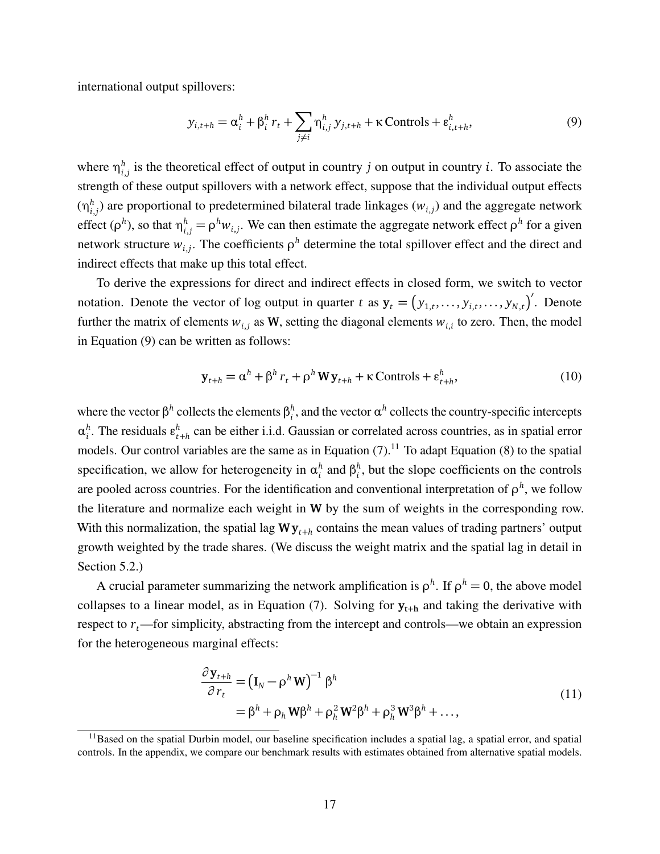international output spillovers:

<span id="page-17-0"></span>
$$
y_{i,t+h} = \alpha_i^h + \beta_i^h r_t + \sum_{j \neq i} \eta_{i,j}^h y_{j,t+h} + \kappa \text{Controls} + \varepsilon_{i,t+h}^h,
$$
\n(9)

where  $\eta_i^h$  $i_{i,j}$  is the theoretical effect of output in country *j* on output in country *i*. To associate the strength of these output spillovers with a network effect, suppose that the individual output effects  $(\eta_i^h)$  $f_{i,j}^{h}$ ) are proportional to predetermined bilateral trade linkages ( $w_{i,j}$ ) and the aggregate network effect ( $\rho^h$ ), so that  $\eta^h_{i,j} = \rho^h w_{i,j}$ . We can then estimate the aggregate network effect  $\rho^h$  for a given network structure  $w_{i,j}$ . The coefficients  $\rho^h$  determine the total spillover effect and the direct and indirect effects that make up this total effect.

To derive the expressions for direct and indirect effects in closed form, we switch to vector notation. Denote the vector of log output in quarter *t* as  $y_t = (y_{1,t},...,y_{i,t},...,y_{N,t})'$ . Denote further the matrix of elements  $w_{i,j}$  as W, setting the diagonal elements  $w_{i,i}$  to zero. Then, the model in Equation [\(9\)](#page-17-0) can be written as follows:

<span id="page-17-3"></span>
$$
\mathbf{y}_{t+h} = \alpha^h + \beta^h r_t + \rho^h \mathbf{W} \mathbf{y}_{t+h} + \kappa \text{ controls} + \varepsilon_{t+h}^h,
$$
\n(10)

where the vector  $\beta^h$  collects the elements  $\beta_i^h$  $\alpha$ <sup>*h*</sup>, and the vector  $\alpha$ <sup>*h*</sup> collects the country-specific intercepts *α h*  $\mathbf{F}_i^h$ . The residuals  $\mathbf{g}_t^h$ *t*+*h* can be either i.i.d. Gaussian or correlated across countries, as in spatial error models. Our control variables are the same as in Equation  $(7)$ .<sup>[11](#page-17-1)</sup> To adapt Equation  $(8)$  to the spatial specification, we allow for heterogeneity in  $\alpha_i^h$  $\binom{h}{i}$  and  $\beta_i^h$  $i<sub>i</sub>$ , but the slope coefficients on the controls are pooled across countries. For the identification and conventional interpretation of  $\rho^h$ , we follow the literature and normalize each weight in **W** by the sum of weights in the corresponding row. With this normalization, the spatial lag  $W y_{t+h}$  contains the mean values of trading partners' output growth weighted by the trade shares. (We discuss the weight matrix and the spatial lag in detail in Section [5.2.](#page-19-0))

A crucial parameter summarizing the network amplification is  $\rho^h$ . If  $\rho^h = 0$ , the above model collapses to a linear model, as in Equation [\(7\)](#page-14-1). Solving for  $y_{t+h}$  and taking the derivative with respect to  $r<sub>t</sub>$ —for simplicity, abstracting from the intercept and controls—we obtain an expression for the heterogeneous marginal effects:

$$
\frac{\partial \mathbf{y}_{t+h}}{\partial r_t} = (\mathbf{I}_N - \rho^h \mathbf{W})^{-1} \beta^h
$$
  
=  $\beta^h + \rho_h \mathbf{W} \beta^h + \rho_h^2 \mathbf{W}^2 \beta^h + \rho_h^3 \mathbf{W}^3 \beta^h + ...,$  (11)

<span id="page-17-2"></span><span id="page-17-1"></span> $11$ Based on the spatial Durbin model, our baseline specification includes a spatial lag, a spatial error, and spatial controls. In the appendix, we compare our benchmark results with estimates obtained from alternative spatial models.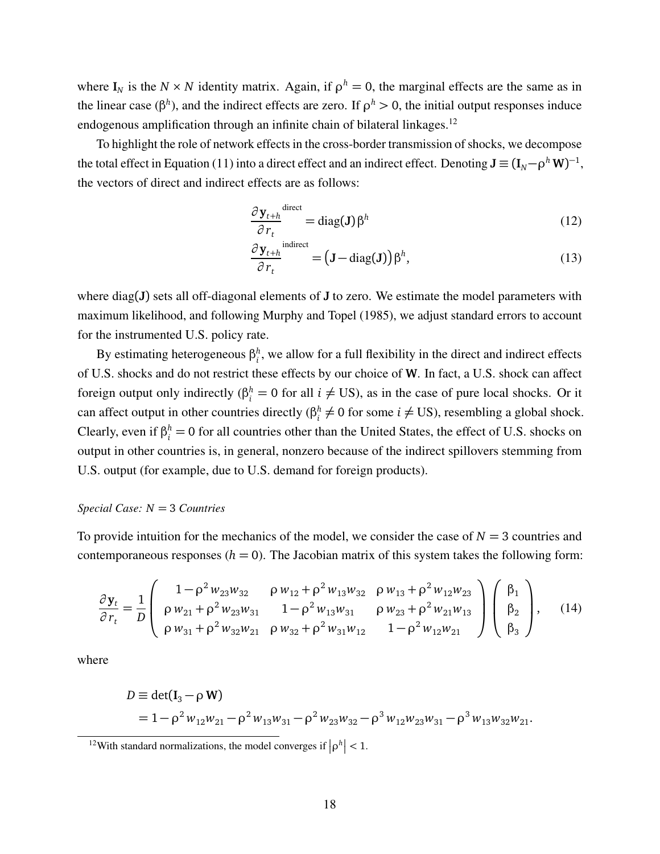where  $I_N$  is the  $N \times N$  identity matrix. Again, if  $\rho^h = 0$ , the marginal effects are the same as in the linear case ( $\beta^h$ ), and the indirect effects are zero. If  $\rho^h > 0$ , the initial output responses induce endogenous amplification through an infinite chain of bilateral linkages.<sup>[12](#page-18-0)</sup>

To highlight the role of network effects in the cross-border transmission of shocks, we decompose the total effect in Equation [\(11\)](#page-17-2) into a direct effect and an indirect effect. Denoting  $J \equiv (I_N - \rho^h W)^{-1}$ , the vectors of direct and indirect effects are as follows:

$$
\frac{\partial \mathbf{y}_{t+h}}{\partial r_t}^{\text{direct}} = \text{diag}(\mathbf{J}) \beta^h \tag{12}
$$

<span id="page-18-1"></span>
$$
\frac{\partial \mathbf{y}_{t+h}}{\partial r_t}^{\text{indirect}} = (\mathbf{J} - \text{diag}(\mathbf{J})) \beta^h, \tag{13}
$$

where diag(**J**) sets all off-diagonal elements of **J** to zero. We estimate the model parameters with maximum likelihood, and following [Murphy and Topel](#page-30-16) [\(1985\)](#page-30-16), we adjust standard errors to account for the instrumented U.S. policy rate.

By estimating heterogeneous *β h*  $i<sub>i</sub>$ , we allow for a full flexibility in the direct and indirect effects of U.S. shocks and do not restrict these effects by our choice of **W**. In fact, a U.S. shock can affect foreign output only indirectly ( $\beta_i^h = 0$  for all  $i \neq \text{US}$ ), as in the case of pure local shocks. Or it can affect output in other countries directly (*β h*  $i \neq 0$  for some  $i \neq \text{US}$ ), resembling a global shock. Clearly, even if  $\beta_i^h = 0$  for all countries other than the United States, the effect of U.S. shocks on output in other countries is, in general, nonzero because of the indirect spillovers stemming from U.S. output (for example, due to U.S. demand for foreign products).

# *Special Case: N* = 3 *Countries*

To provide intuition for the mechanics of the model, we consider the case of  $N = 3$  countries and contemporaneous responses  $(h = 0)$ . The Jacobian matrix of this system takes the following form:

$$
\frac{\partial \mathbf{y}_{t}}{\partial r_{t}} = \frac{1}{D} \begin{pmatrix} 1 - \rho^{2} w_{23} w_{32} & \rho w_{12} + \rho^{2} w_{13} w_{32} & \rho w_{13} + \rho^{2} w_{12} w_{23} \\ \rho w_{21} + \rho^{2} w_{23} w_{31} & 1 - \rho^{2} w_{13} w_{31} & \rho w_{23} + \rho^{2} w_{21} w_{13} \\ \rho w_{31} + \rho^{2} w_{32} w_{21} & \rho w_{32} + \rho^{2} w_{31} w_{12} & 1 - \rho^{2} w_{12} w_{21} \end{pmatrix} \begin{pmatrix} \beta_{1} \\ \beta_{2} \\ \beta_{3} \end{pmatrix}, \quad (14)
$$

where

$$
D \equiv det(\mathbf{I}_3 - \rho \mathbf{W})
$$
  
=  $1 - \rho^2 w_{12} w_{21} - \rho^2 w_{13} w_{31} - \rho^2 w_{23} w_{32} - \rho^3 w_{12} w_{23} w_{31} - \rho^3 w_{13} w_{32} w_{21}.$ 

<span id="page-18-0"></span><sup>&</sup>lt;sup>12</sup>With standard normalizations, the model converges if  $|\rho^h|$  < 1.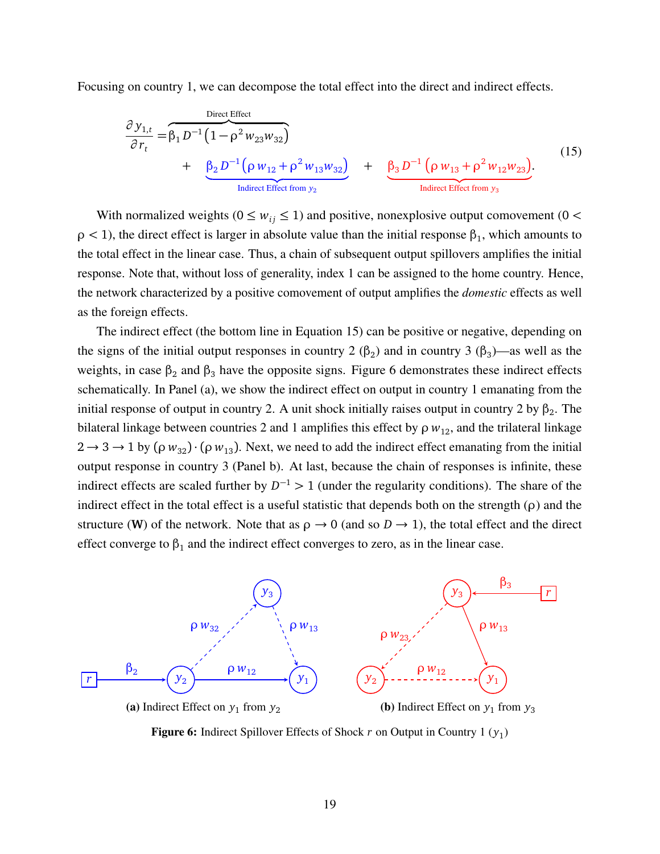Focusing on country 1, we can decompose the total effect into the direct and indirect effects.

<span id="page-19-1"></span>
$$
\frac{\partial y_{1,t}}{\partial r_t} = \widehat{\beta_1 D^{-1} (1 - \rho^2 w_{23} w_{32})} + \underbrace{\beta_2 D^{-1} (\rho w_{12} + \rho^2 w_{13} w_{32})}_{\text{Indirect Effect from } y_2} + \underbrace{\beta_3 D^{-1} (\rho w_{13} + \rho^2 w_{12} w_{23})}_{\text{Indirect Effect from } y_3}.
$$
\n(15)

With normalized weights ( $0 \leq w_{ij} \leq 1$ ) and positive, nonexplosive output comovement ( $0 <$  $\rho$  < 1), the direct effect is larger in absolute value than the initial response  $\beta_1$ , which amounts to the total effect in the linear case. Thus, a chain of subsequent output spillovers amplifies the initial response. Note that, without loss of generality, index 1 can be assigned to the home country. Hence, the network characterized by a positive comovement of output amplifies the *domestic* effects as well as the foreign effects.

The indirect effect (the bottom line in Equation [15\)](#page-19-1) can be positive or negative, depending on the signs of the initial output responses in country 2  $(\beta_2)$  and in country 3  $(\beta_3)$ —as well as the weights, in case  $β_2$  and  $β_3$  have the opposite signs. Figure [6](#page-19-2) demonstrates these indirect effects schematically. In Panel (a), we show the indirect effect on output in country 1 emanating from the initial response of output in country 2. A unit shock initially raises output in country 2 by  $\beta_2$ . The bilateral linkage between countries 2 and 1 amplifies this effect by  $\rho w_{12}$ , and the trilateral linkage  $2 \rightarrow 3 \rightarrow 1$  by ( $\rho w_{32}$ ) · ( $\rho w_{13}$ ). Next, we need to add the indirect effect emanating from the initial output response in country 3 (Panel b). At last, because the chain of responses is infinite, these indirect effects are scaled further by  $D^{-1} > 1$  (under the regularity conditions). The share of the indirect effect in the total effect is a useful statistic that depends both on the strength (*ρ*) and the structure (**W**) of the network. Note that as  $\rho \rightarrow 0$  (and so  $D \rightarrow 1$ ), the total effect and the direct effect converge to  $\beta_1$  and the indirect effect converges to zero, as in the linear case.

<span id="page-19-2"></span><span id="page-19-0"></span>

(a) Indirect Effect on  $y_1$  from  $y_2$ 

(**b**) Indirect Effect on  $y_1$  from  $y_3$ 

**Figure 6:** Indirect Spillover Effects of Shock *r* on Output in Country 1 (*y*<sub>1</sub>)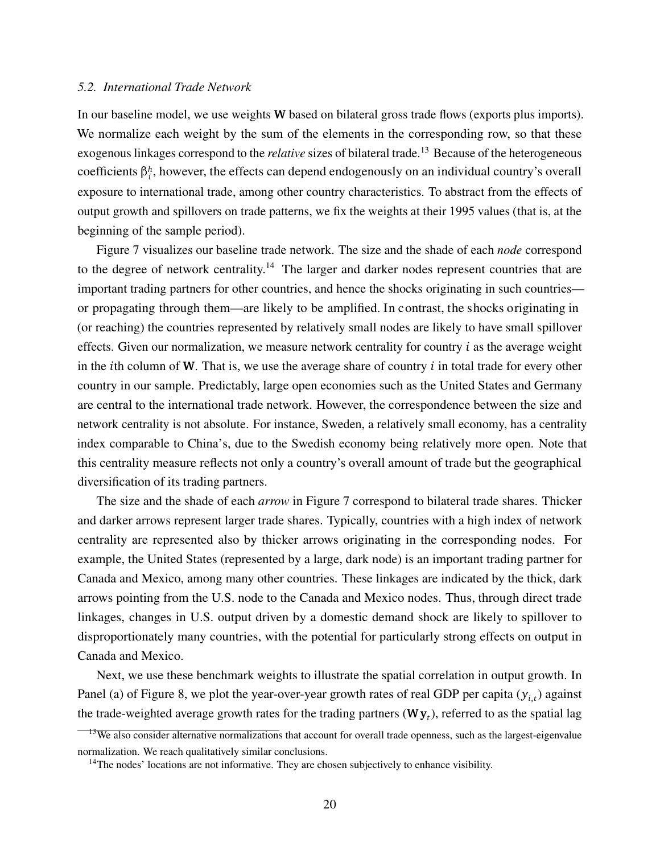#### *5.2. International Trade Network*

*h* coefficients *β<sup>i</sup>* , however, the effects can depend endogenously on an individual country's overall In our baseline model, we use weights **W** based on bilateral gross trade flows (exports plus imports). We normalize each weight by the sum of the elements in the corresponding row, so that these exogenous linkages correspond to the *relative* sizes of bilateral trade. [13](#page-20-0) Because of the heterogeneous exposure to international trade, among other country characteristics. To abstract from the effects of output growth and spillovers on trade patterns, we fix the weights at their 1995 values (that is, at the beginning of the sample period).

Figure [7](#page-21-0) visualizes our baseline trade network. The size and the shade of each *node* correspond to the degree of network centrality.<sup>[14](#page-20-1)</sup> The larger and darker nodes represent countries that are important trading partners for other countries, and hence the shocks originating in such countries or propagating through them—are likely to be amplified. In contrast, the shocks originating in (or reaching) the countries represented by relatively small nodes are likely to have small spillover effects. Given our normalization, we measure network centrality for country *i* as the average weight in the *i*th column of **W**. That is, we use the average share of country *i* in total trade for every other country in our sample. Predictably, large open economies such as the United States and Germany are central to the international trade network. However, the correspondence between the size and network centrality is not absolute. For instance, Sweden, a relatively small economy, has a centrality index comparable to China's, due to the Swedish economy being relatively more open. Note that this centrality measure reflects not only a country's overall amount of trade but the geographical diversification of its trading partners.

The size and the shade of each *arrow* in Figure [7](#page-21-0) correspond to bilateral trade shares. Thicker and darker arrows represent larger trade shares. Typically, countries with a high index of network centrality are represented also by thicker arrows originating in the corresponding nodes. For example, the United States (represented by a large, dark node) is an important trading partner for Canada and Mexico, among many other countries. These linkages are indicated by the thick, dark arrows pointing from the U.S. node to the Canada and Mexico nodes. Thus, through direct trade linkages, changes in U.S. output driven by a domestic demand shock are likely to spillover to disproportionately many countries, with the potential for particularly strong effects on output in Canada and Mexico.

Next, we use these benchmark weights to illustrate the spatial correlation in output growth. In Panel (a) of Figure [8,](#page-21-1) we plot the year-over-year growth rates of real GDP per capita ( $y_{i,t}$ ) against the trade-weighted average growth rates for the trading partners (**Wy***<sup>t</sup>* ), referred to as the spatial lag

<span id="page-20-0"></span><sup>&</sup>lt;sup>13</sup>We also consider alternative normalizations that account for overall trade openness, such as the largest-eigenvalue normalization. We reach qualitatively similar conclusions.

<span id="page-20-1"></span><sup>&</sup>lt;sup>14</sup>The nodes' locations are not informative. They are chosen subjectively to enhance visibility.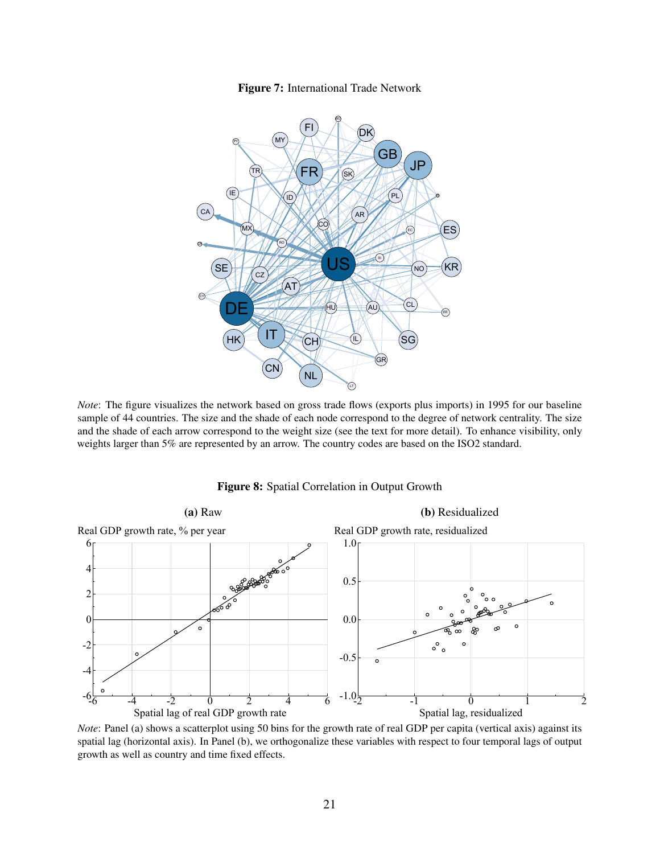

<span id="page-21-0"></span>

*Note*: The figure visualizes the network based on gross trade flows (exports plus imports) in 1995 for our baseline sample of 44 countries. The size and the shade of each node correspond to the degree of network centrality. The size and the shade of each arrow correspond to the weight size (see the text for more detail). To enhance visibility, only weights larger than 5% are represented by an arrow. The country codes are based on the ISO2 standard.



<span id="page-21-1"></span>

*Note*: Panel (a) shows a scatterplot using 50 bins for the growth rate of real GDP per capita (vertical axis) against its spatial lag (horizontal axis). In Panel (b), we orthogonalize these variables with respect to four temporal lags of output growth as well as country and time fixed effects.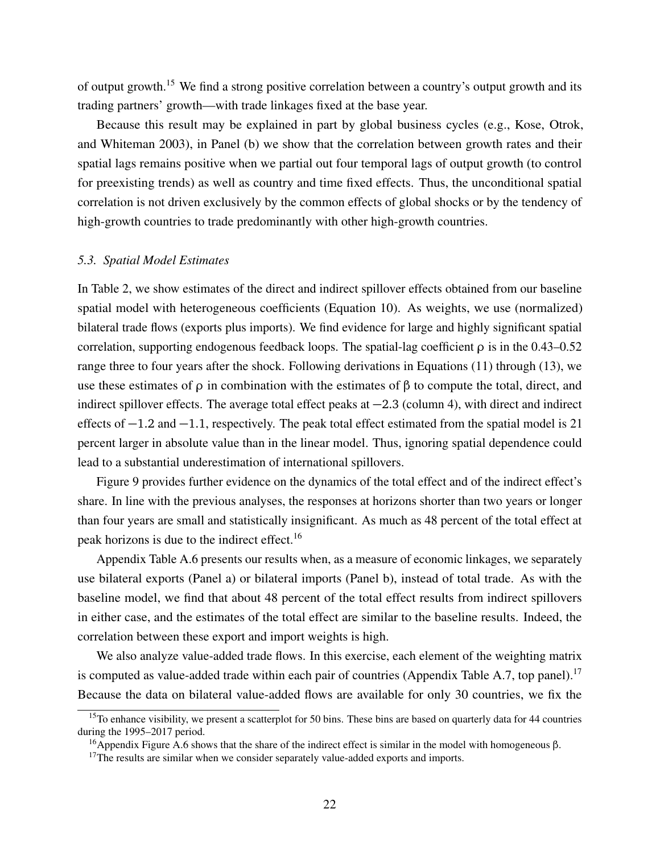of output growth.[15](#page-22-0) We find a strong positive correlation between a country's output growth and its trading partners' growth—with trade linkages fixed at the base year.

Because this result may be explained in part by global business cycles (e.g., [Kose, Otrok,](#page-30-0) [and Whiteman](#page-30-0) [2003\)](#page-30-0), in Panel (b) we show that the correlation between growth rates and their spatial lags remains positive when we partial out four temporal lags of output growth (to control for preexisting trends) as well as country and time fixed effects. Thus, the unconditional spatial correlation is not driven exclusively by the common effects of global shocks or by the tendency of high-growth countries to trade predominantly with other high-growth countries.

# *5.3. Spatial Model Estimates*

In Table [2,](#page-23-0) we show estimates of the direct and indirect spillover effects obtained from our baseline spatial model with heterogeneous coefficients (Equation [10\)](#page-17-3). As weights, we use (normalized) bilateral trade flows (exports plus imports). We find evidence for large and highly significant spatial correlation, supporting endogenous feedback loops. The spatial-lag coefficient *ρ* is in the 0.43–0.52 range three to four years after the shock. Following derivations in Equations [\(11\)](#page-17-2) through [\(13\)](#page-18-1), we use these estimates of *ρ* in combination with the estimates of *β* to compute the total, direct, and indirect spillover effects. The average total effect peaks at −2.3 (column 4), with direct and indirect effects of −1.2 and −1.1, respectively. The peak total effect estimated from the spatial model is 21 percent larger in absolute value than in the linear model. Thus, ignoring spatial dependence could lead to a substantial underestimation of international spillovers.

Figure [9](#page-23-1) provides further evidence on the dynamics of the total effect and of the indirect effect's share. In line with the previous analyses, the responses at horizons shorter than two years or longer than four years are small and statistically insignificant. As much as 48 percent of the total effect at peak horizons is due to the indirect effect.[16](#page-22-1)

Appendix Table [A.6](#page-38-0) presents our results when, as a measure of economic linkages, we separately use bilateral exports (Panel a) or bilateral imports (Panel b), instead of total trade. As with the baseline model, we find that about 48 percent of the total effect results from indirect spillovers in either case, and the estimates of the total effect are similar to the baseline results. Indeed, the correlation between these export and import weights is high.

We also analyze value-added trade flows. In this exercise, each element of the weighting matrix is computed as value-added trade within each pair of countries (Appendix Table [A.7,](#page-39-0) top panel).<sup>[17](#page-22-2)</sup> Because the data on bilateral value-added flows are available for only 30 countries, we fix the

<span id="page-22-0"></span> $15$ To enhance visibility, we present a scatterplot for 50 bins. These bins are based on quarterly data for 44 countries during the 1995–2017 period.

<span id="page-22-1"></span><sup>16</sup>Appendix Figure [A.6](#page-38-1) shows that the share of the indirect effect is similar in the model with homogeneous *β*.

<span id="page-22-2"></span> $17$ The results are similar when we consider separately value-added exports and imports.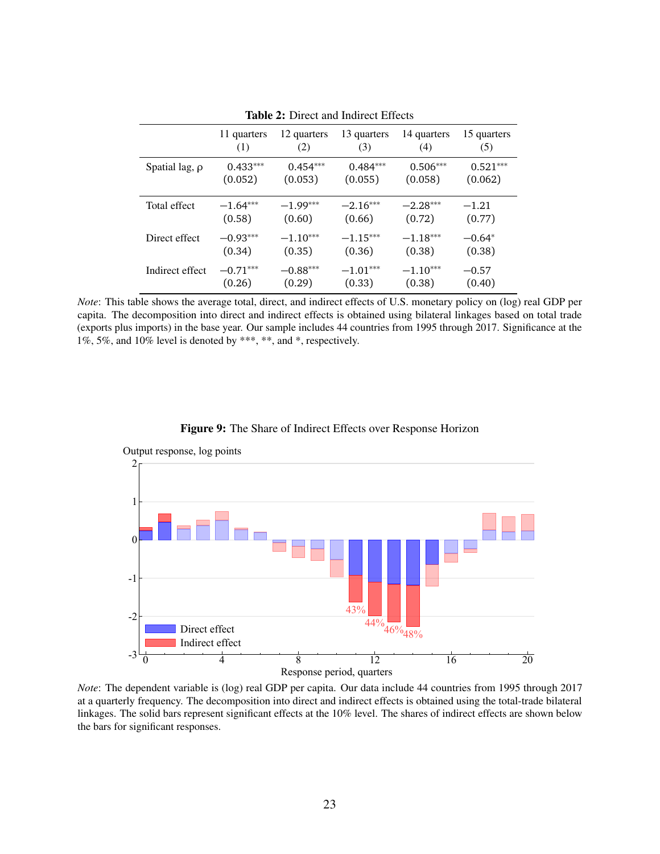<span id="page-23-0"></span>

|                     | 11 quarters | 12 quarters | 13 quarters | 14 quarters | 15 quarters |
|---------------------|-------------|-------------|-------------|-------------|-------------|
|                     | (1)         | (2)         | (3)         | (4)         | (5)         |
| Spatial lag, $\rho$ | $0.433***$  | $0.454***$  | $0.484***$  | $0.506***$  | $0.521***$  |
|                     | (0.052)     | (0.053)     | (0.055)     | (0.058)     | (0.062)     |
| Total effect        | $-1.64***$  | $-1.99***$  | $-2.16***$  | $-2.28***$  | $-1.21$     |
|                     | (0.58)      | (0.60)      | (0.66)      | (0.72)      | (0.77)      |
| Direct effect       | $-0.93***$  | $-1.10***$  | $-1.15***$  | $-1.18***$  | $-0.64*$    |
|                     | (0.34)      | (0.35)      | (0.36)      | (0.38)      | (0.38)      |
| Indirect effect     | $-0.71***$  | $-0.88***$  | $-1.01***$  | $-1.10***$  | $-0.57$     |
|                     | (0.26)      | (0.29)      | (0.33)      | (0.38)      | (0.40)      |

Table 2: Direct and Indirect Effects

*Note*: This table shows the average total, direct, and indirect effects of U.S. monetary policy on (log) real GDP per capita. The decomposition into direct and indirect effects is obtained using bilateral linkages based on total trade (exports plus imports) in the base year. Our sample includes 44 countries from 1995 through 2017. Significance at the  $1\%, 5\%,$  and  $10\%$  level is denoted by \*\*\*, \*\*, and \*, respectively.





<span id="page-23-1"></span>Output response, log points

*Note*: The dependent variable is (log) real GDP per capita. Our data include 44 countries from 1995 through 2017 at a quarterly frequency. The decomposition into direct and indirect effects is obtained using the total-trade bilateral linkages. The solid bars represent significant effects at the 10% level. The shares of indirect effects are shown below the bars for significant responses.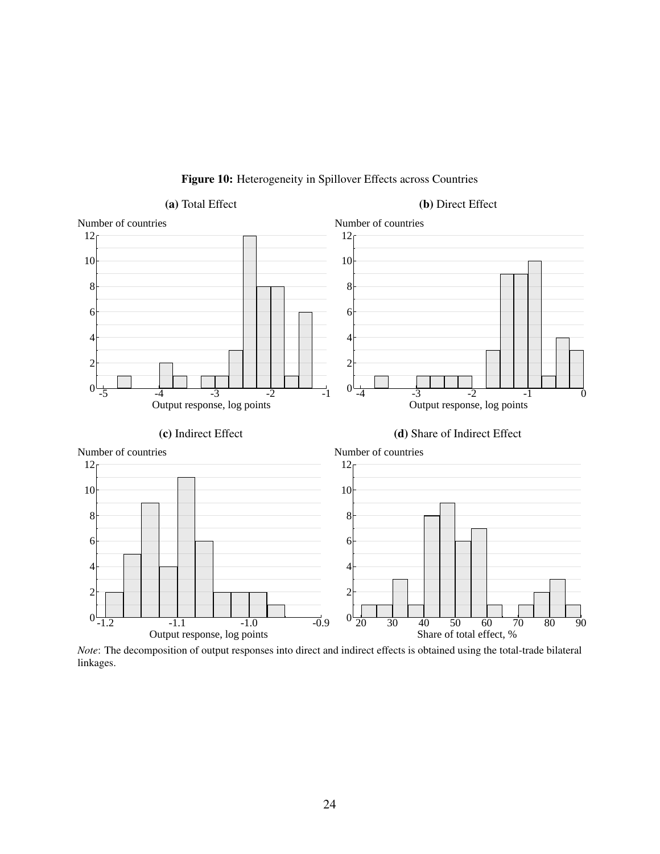<span id="page-24-0"></span>

Figure 10: Heterogeneity in Spillover Effects across Countries

*Note*: The decomposition of output responses into direct and indirect effects is obtained using the total-trade bilateral linkages.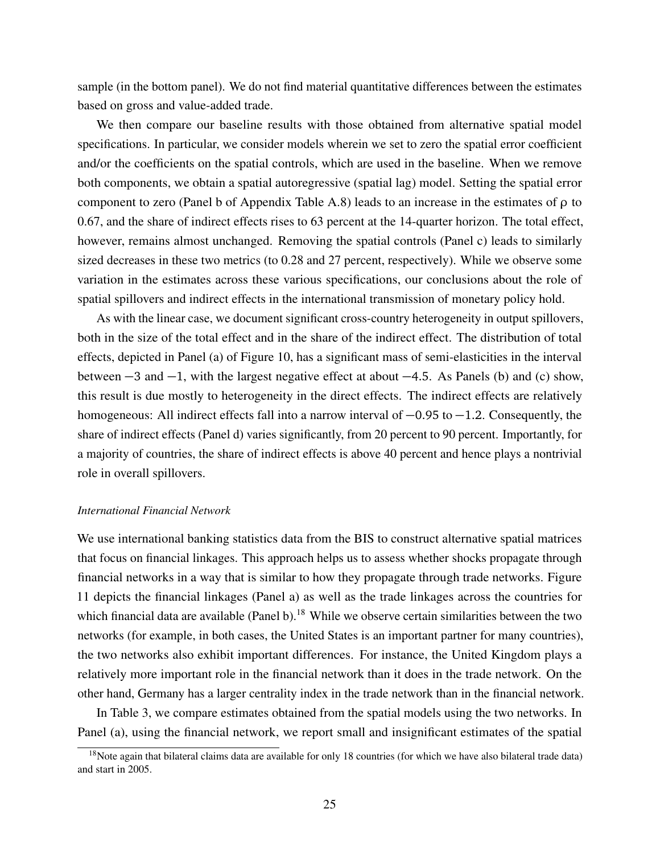sample (in the bottom panel). We do not find material quantitative differences between the estimates based on gross and value-added trade.

We then compare our baseline results with those obtained from alternative spatial model specifications. In particular, we consider models wherein we set to zero the spatial error coefficient and/or the coefficients on the spatial controls, which are used in the baseline. When we remove both components, we obtain a spatial autoregressive (spatial lag) model. Setting the spatial error component to zero (Panel b of Appendix Table [A.8\)](#page-40-0) leads to an increase in the estimates of *ρ* to 0.67, and the share of indirect effects rises to 63 percent at the 14-quarter horizon. The total effect, however, remains almost unchanged. Removing the spatial controls (Panel c) leads to similarly sized decreases in these two metrics (to 0.28 and 27 percent, respectively). While we observe some variation in the estimates across these various specifications, our conclusions about the role of spatial spillovers and indirect effects in the international transmission of monetary policy hold.

As with the linear case, we document significant cross-country heterogeneity in output spillovers, both in the size of the total effect and in the share of the indirect effect. The distribution of total effects, depicted in Panel (a) of Figure [10,](#page-24-0) has a significant mass of semi-elasticities in the interval between −3 and −1, with the largest negative effect at about −4.5. As Panels (b) and (c) show, this result is due mostly to heterogeneity in the direct effects. The indirect effects are relatively homogeneous: All indirect effects fall into a narrow interval of −0.95 to −1.2. Consequently, the share of indirect effects (Panel d) varies significantly, from 20 percent to 90 percent. Importantly, for a majority of countries, the share of indirect effects is above 40 percent and hence plays a nontrivial role in overall spillovers.

# *International Financial Network*

We use international banking statistics data from the BIS to construct alternative spatial matrices that focus on financial linkages. This approach helps us to assess whether shocks propagate through financial networks in a way that is similar to how they propagate through trade networks. Figure [11](#page-26-0) depicts the financial linkages (Panel a) as well as the trade linkages across the countries for which financial data are available (Panel b).<sup>[18](#page-25-0)</sup> While we observe certain similarities between the two networks (for example, in both cases, the United States is an important partner for many countries), the two networks also exhibit important differences. For instance, the United Kingdom plays a relatively more important role in the financial network than it does in the trade network. On the other hand, Germany has a larger centrality index in the trade network than in the financial network.

In Table [3,](#page-26-1) we compare estimates obtained from the spatial models using the two networks. In Panel (a), using the financial network, we report small and insignificant estimates of the spatial

<span id="page-25-0"></span> $18$ Note again that bilateral claims data are available for only 18 countries (for which we have also bilateral trade data) and start in 2005.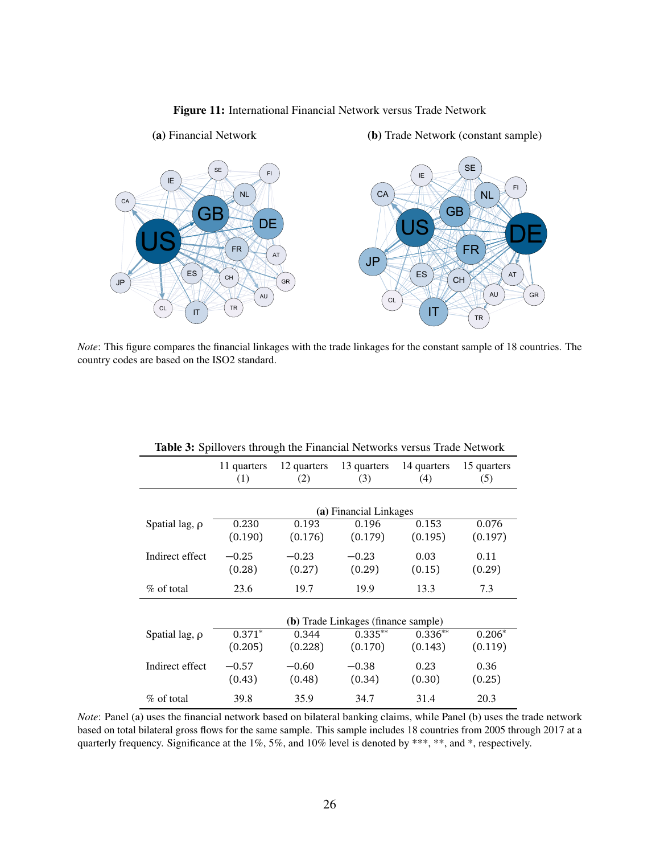

<span id="page-26-0"></span>

*Note*: This figure compares the financial linkages with the trade linkages for the constant sample of 18 countries. The country codes are based on the ISO2 standard.

<span id="page-26-1"></span>

| <b>Table 5:</b> Spillovers ulfough the Financial Networks versus Trade Network |                                     |                        |                    |                    |                    |  |  |  |
|--------------------------------------------------------------------------------|-------------------------------------|------------------------|--------------------|--------------------|--------------------|--|--|--|
|                                                                                | 11 quarters<br>(1)                  | 12 quarters<br>(2)     | 13 quarters<br>(3) | 14 quarters<br>(4) | 15 quarters<br>(5) |  |  |  |
|                                                                                |                                     | (a) Financial Linkages |                    |                    |                    |  |  |  |
| Spatial lag, $\rho$                                                            | 0.230                               | 0.193                  | 0.196              | 0.153              | 0.076              |  |  |  |
|                                                                                | (0.190)                             | (0.176)                | (0.179)            | (0.195)            | (0.197)            |  |  |  |
| Indirect effect                                                                | $-0.25$                             | $-0.23$                | $-0.23$            | 0.03               | 0.11               |  |  |  |
|                                                                                | (0.28)                              | (0.27)                 | (0.29)             | (0.15)             | (0.29)             |  |  |  |
| $\%$ of total                                                                  | 23.6                                | 19.7                   | 19.9               | 13.3               | 7.3                |  |  |  |
|                                                                                | (b) Trade Linkages (finance sample) |                        |                    |                    |                    |  |  |  |
| Spatial lag, $\rho$                                                            | $0.371*$                            | 0.344                  | $0.335***$         | $0.336**$          | $0.206*$           |  |  |  |
|                                                                                | (0.205)                             | (0.228)                | (0.170)            | (0.143)            | (0.119)            |  |  |  |
| Indirect effect                                                                | $-0.57$                             | $-0.60$                | $-0.38$            | 0.23               | 0.36               |  |  |  |
|                                                                                | (0.43)                              | (0.48)                 | (0.34)             | (0.30)             | (0.25)             |  |  |  |
| $\%$ of total                                                                  | 39.8                                | 35.9                   | 34.7               | 31.4               | 20.3               |  |  |  |

Table 3: Spillovers through the Financial Networks versus Trade Network

*Note*: Panel (a) uses the financial network based on bilateral banking claims, while Panel (b) uses the trade network based on total bilateral gross flows for the same sample. This sample includes 18 countries from 2005 through 2017 at a quarterly frequency. Significance at the 1%, 5%, and 10% level is denoted by \*\*\*, \*\*, and \*, respectively.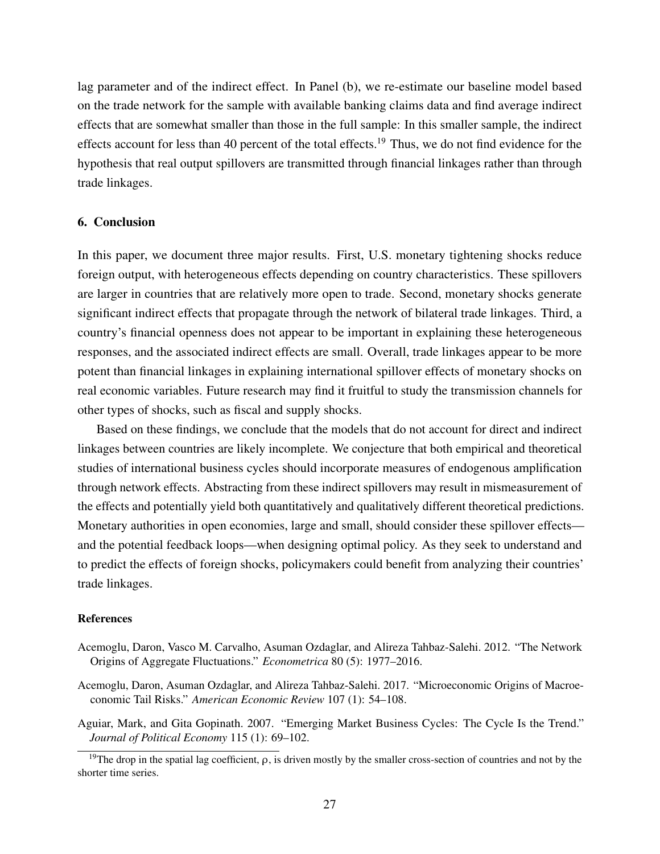lag parameter and of the indirect effect. In Panel (b), we re-estimate our baseline model based on the trade network for the sample with available banking claims data and find average indirect effects that are somewhat smaller than those in the full sample: In this smaller sample, the indirect effects account for less than 40 percent of the total effects.<sup>[19](#page-27-4)</sup> Thus, we do not find evidence for the hypothesis that real output spillovers are transmitted through financial linkages rather than through trade linkages.

#### <span id="page-27-3"></span>6. Conclusion

In this paper, we document three major results. First, U.S. monetary tightening shocks reduce foreign output, with heterogeneous effects depending on country characteristics. These spillovers are larger in countries that are relatively more open to trade. Second, monetary shocks generate significant indirect effects that propagate through the network of bilateral trade linkages. Third, a country's financial openness does not appear to be important in explaining these heterogeneous responses, and the associated indirect effects are small. Overall, trade linkages appear to be more potent than financial linkages in explaining international spillover effects of monetary shocks on real economic variables. Future research may find it fruitful to study the transmission channels for other types of shocks, such as fiscal and supply shocks.

Based on these findings, we conclude that the models that do not account for direct and indirect linkages between countries are likely incomplete. We conjecture that both empirical and theoretical studies of international business cycles should incorporate measures of endogenous amplification through network effects. Abstracting from these indirect spillovers may result in mismeasurement of the effects and potentially yield both quantitatively and qualitatively different theoretical predictions. Monetary authorities in open economies, large and small, should consider these spillover effects and the potential feedback loops—when designing optimal policy. As they seek to understand and to predict the effects of foreign shocks, policymakers could benefit from analyzing their countries' trade linkages.

#### References

- <span id="page-27-1"></span>Acemoglu, Daron, Vasco M. Carvalho, Asuman Ozdaglar, and Alireza Tahbaz-Salehi. 2012. "The Network Origins of Aggregate Fluctuations." *Econometrica* 80 (5): 1977–2016.
- <span id="page-27-2"></span>Acemoglu, Daron, Asuman Ozdaglar, and Alireza Tahbaz-Salehi. 2017. "Microeconomic Origins of Macroeconomic Tail Risks." *American Economic Review* 107 (1): 54–108.

<span id="page-27-0"></span>Aguiar, Mark, and Gita Gopinath. 2007. "Emerging Market Business Cycles: The Cycle Is the Trend." *Journal of Political Economy* 115 (1): 69–102.

<span id="page-27-4"></span><sup>19</sup>The drop in the spatial lag coefficient, *ρ*, is driven mostly by the smaller cross-section of countries and not by the shorter time series.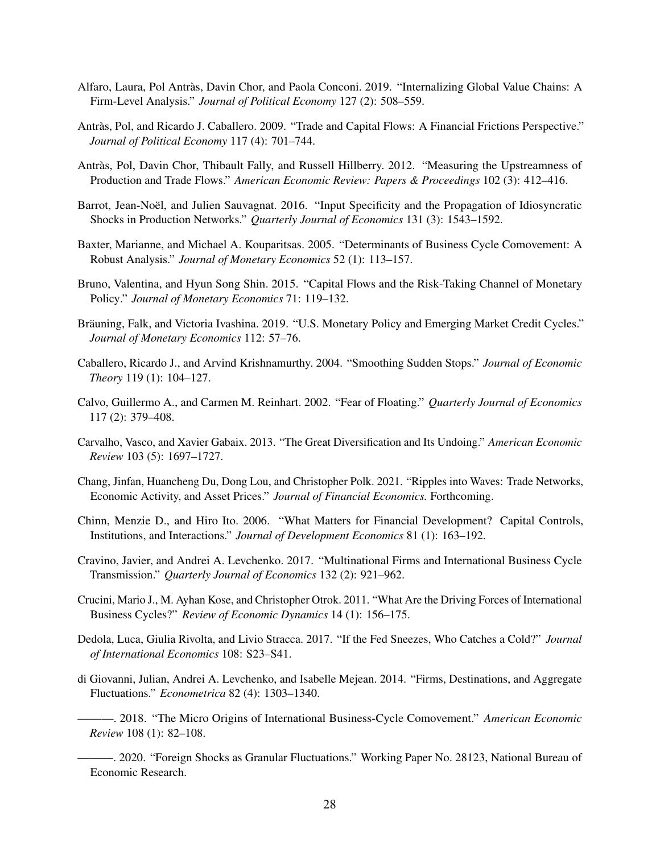- <span id="page-28-2"></span>Alfaro, Laura, Pol Antràs, Davin Chor, and Paola Conconi. 2019. "Internalizing Global Value Chains: A Firm-Level Analysis." *Journal of Political Economy* 127 (2): 508–559.
- <span id="page-28-16"></span>Antràs, Pol, and Ricardo J. Caballero. 2009. "Trade and Capital Flows: A Financial Frictions Perspective." *Journal of Political Economy* 117 (4): 701–744.
- <span id="page-28-6"></span>Antràs, Pol, Davin Chor, Thibault Fally, and Russell Hillberry. 2012. "Measuring the Upstreamness of Production and Trade Flows." *American Economic Review: Papers & Proceedings* 102 (3): 412–416.
- <span id="page-28-10"></span>Barrot, Jean-Noël, and Julien Sauvagnat. 2016. "Input Specificity and the Propagation of Idiosyncratic Shocks in Production Networks." *Quarterly Journal of Economics* 131 (3): 1543–1592.
- <span id="page-28-3"></span>Baxter, Marianne, and Michael A. Kouparitsas. 2005. "Determinants of Business Cycle Comovement: A Robust Analysis." *Journal of Monetary Economics* 52 (1): 113–157.
- <span id="page-28-12"></span>Bruno, Valentina, and Hyun Song Shin. 2015. "Capital Flows and the Risk-Taking Channel of Monetary Policy." *Journal of Monetary Economics* 71: 119–132.
- <span id="page-28-13"></span>Bräuning, Falk, and Victoria Ivashina. 2019. "U.S. Monetary Policy and Emerging Market Credit Cycles." *Journal of Monetary Economics* 112: 57–76.
- <span id="page-28-7"></span>Caballero, Ricardo J., and Arvind Krishnamurthy. 2004. "Smoothing Sudden Stops." *Journal of Economic Theory* 119 (1): 104–127.
- <span id="page-28-15"></span>Calvo, Guillermo A., and Carmen M. Reinhart. 2002. "Fear of Floating." *Quarterly Journal of Economics* 117 (2): 379–408.
- <span id="page-28-8"></span>Carvalho, Vasco, and Xavier Gabaix. 2013. "The Great Diversification and Its Undoing." *American Economic Review* 103 (5): 1697–1727.
- <span id="page-28-11"></span>Chang, Jinfan, Huancheng Du, Dong Lou, and Christopher Polk. 2021. "Ripples into Waves: Trade Networks, Economic Activity, and Asset Prices." *Journal of Financial Economics.* Forthcoming.
- <span id="page-28-17"></span>Chinn, Menzie D., and Hiro Ito. 2006. "What Matters for Financial Development? Capital Controls, Institutions, and Interactions." *Journal of Development Economics* 81 (1): 163–192.
- <span id="page-28-1"></span>Cravino, Javier, and Andrei A. Levchenko. 2017. "Multinational Firms and International Business Cycle Transmission." *Quarterly Journal of Economics* 132 (2): 921–962.
- <span id="page-28-4"></span>Crucini, Mario J., M. Ayhan Kose, and Christopher Otrok. 2011. "What Are the Driving Forces of International Business Cycles?" *Review of Economic Dynamics* 14 (1): 156–175.
- <span id="page-28-14"></span>Dedola, Luca, Giulia Rivolta, and Livio Stracca. 2017. "If the Fed Sneezes, Who Catches a Cold?" *Journal of International Economics* 108: S23–S41.
- <span id="page-28-9"></span>di Giovanni, Julian, Andrei A. Levchenko, and Isabelle Mejean. 2014. "Firms, Destinations, and Aggregate Fluctuations." *Econometrica* 82 (4): 1303–1340.
- <span id="page-28-0"></span>———. 2018. "The Micro Origins of International Business-Cycle Comovement." *American Economic Review* 108 (1): 82–108.
- <span id="page-28-5"></span>-. 2020. "Foreign Shocks as Granular Fluctuations." Working Paper No. 28123, National Bureau of Economic Research.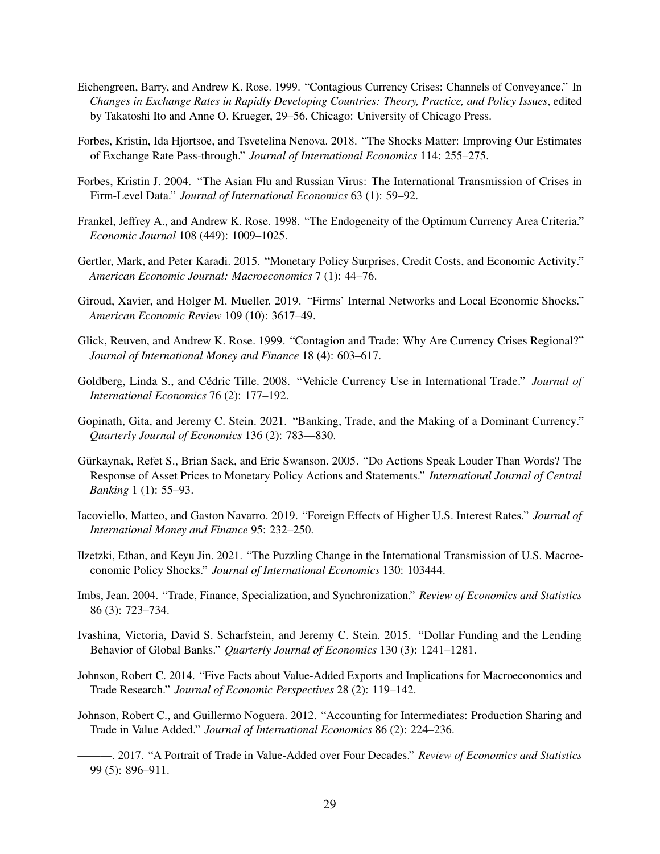- <span id="page-29-7"></span>Eichengreen, Barry, and Andrew K. Rose. 1999. "Contagious Currency Crises: Channels of Conveyance." In *Changes in Exchange Rates in Rapidly Developing Countries: Theory, Practice, and Policy Issues*, edited by Takatoshi Ito and Anne O. Krueger, 29–56. Chicago: University of Chicago Press.
- <span id="page-29-12"></span>Forbes, Kristin, Ida Hjortsoe, and Tsvetelina Nenova. 2018. "The Shocks Matter: Improving Our Estimates of Exchange Rate Pass-through." *Journal of International Economics* 114: 255–275.
- <span id="page-29-3"></span>Forbes, Kristin J. 2004. "The Asian Flu and Russian Virus: The International Transmission of Crises in Firm-Level Data." *Journal of International Economics* 63 (1): 59–92.
- <span id="page-29-2"></span>Frankel, Jeffrey A., and Andrew K. Rose. 1998. "The Endogeneity of the Optimum Currency Area Criteria." *Economic Journal* 108 (449): 1009–1025.
- <span id="page-29-15"></span>Gertler, Mark, and Peter Karadi. 2015. "Monetary Policy Surprises, Credit Costs, and Economic Activity." *American Economic Journal: Macroeconomics* 7 (1): 44–76.
- <span id="page-29-11"></span>Giroud, Xavier, and Holger M. Mueller. 2019. "Firms' Internal Networks and Local Economic Shocks." *American Economic Review* 109 (10): 3617–49.
- <span id="page-29-8"></span>Glick, Reuven, and Andrew K. Rose. 1999. "Contagion and Trade: Why Are Currency Crises Regional?" *Journal of International Money and Finance* 18 (4): 603–617.
- <span id="page-29-0"></span>Goldberg, Linda S., and Cédric Tille. 2008. "Vehicle Currency Use in International Trade." *Journal of International Economics* 76 (2): 177–192.
- <span id="page-29-1"></span>Gopinath, Gita, and Jeremy C. Stein. 2021. "Banking, Trade, and the Making of a Dominant Currency." *Quarterly Journal of Economics* 136 (2): 783––830.
- <span id="page-29-14"></span>Gürkaynak, Refet S., Brian Sack, and Eric Swanson. 2005. "Do Actions Speak Louder Than Words? The Response of Asset Prices to Monetary Policy Actions and Statements." *International Journal of Central Banking* 1 (1): 55–93.
- <span id="page-29-13"></span>Iacoviello, Matteo, and Gaston Navarro. 2019. "Foreign Effects of Higher U.S. Interest Rates." *Journal of International Money and Finance* 95: 232–250.
- <span id="page-29-16"></span>Ilzetzki, Ethan, and Keyu Jin. 2021. "The Puzzling Change in the International Transmission of U.S. Macroeconomic Policy Shocks." *Journal of International Economics* 130: 103444.
- <span id="page-29-6"></span>Imbs, Jean. 2004. "Trade, Finance, Specialization, and Synchronization." *Review of Economics and Statistics* 86 (3): 723–734.
- <span id="page-29-4"></span>Ivashina, Victoria, David S. Scharfstein, and Jeremy C. Stein. 2015. "Dollar Funding and the Lending Behavior of Global Banks." *Quarterly Journal of Economics* 130 (3): 1241–1281.
- <span id="page-29-10"></span>Johnson, Robert C. 2014. "Five Facts about Value-Added Exports and Implications for Macroeconomics and Trade Research." *Journal of Economic Perspectives* 28 (2): 119–142.
- <span id="page-29-9"></span><span id="page-29-5"></span>Johnson, Robert C., and Guillermo Noguera. 2012. "Accounting for Intermediates: Production Sharing and Trade in Value Added." *Journal of International Economics* 86 (2): 224–236.
	- ———. 2017. "A Portrait of Trade in Value-Added over Four Decades." *Review of Economics and Statistics* 99 (5): 896–911.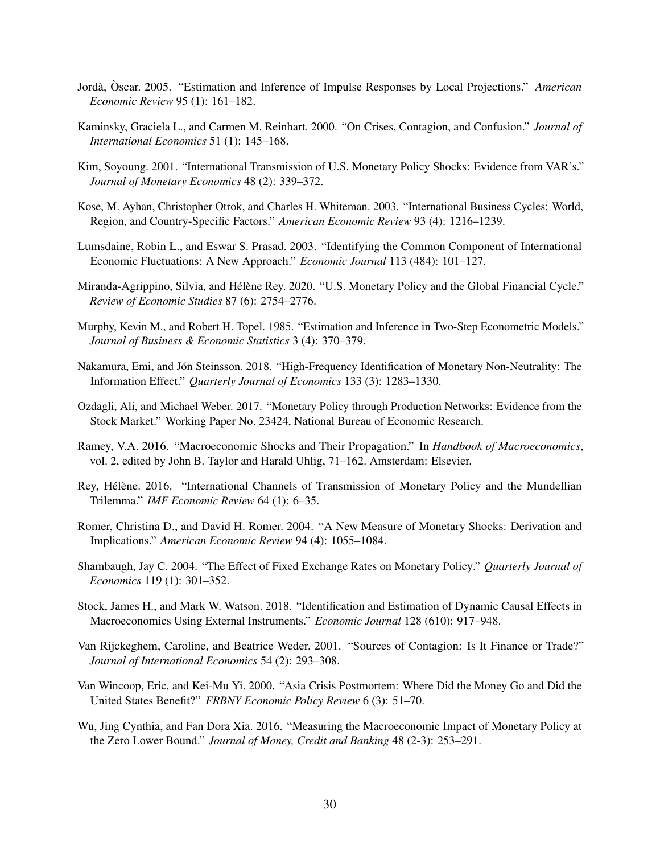- <span id="page-30-3"></span>Jordà, Òscar. 2005. "Estimation and Inference of Impulse Responses by Local Projections." *American Economic Review* 95 (1): 161–182.
- <span id="page-30-6"></span>Kaminsky, Graciela L., and Carmen M. Reinhart. 2000. "On Crises, Contagion, and Confusion." *Journal of International Economics* 51 (1): 145–168.
- <span id="page-30-13"></span>Kim, Soyoung. 2001. "International Transmission of U.S. Monetary Policy Shocks: Evidence from VAR's." *Journal of Monetary Economics* 48 (2): 339–372.
- <span id="page-30-0"></span>Kose, M. Ayhan, Christopher Otrok, and Charles H. Whiteman. 2003. "International Business Cycles: World, Region, and Country-Specific Factors." *American Economic Review* 93 (4): 1216–1239.
- <span id="page-30-8"></span>Lumsdaine, Robin L., and Eswar S. Prasad. 2003. "Identifying the Common Component of International Economic Fluctuations: A New Approach." *Economic Journal* 113 (484): 101–127.
- <span id="page-30-7"></span>Miranda-Agrippino, Silvia, and Hélène Rey. 2020. "U.S. Monetary Policy and the Global Financial Cycle." *Review of Economic Studies* 87 (6): 2754–2776.
- <span id="page-30-16"></span>Murphy, Kevin M., and Robert H. Topel. 1985. "Estimation and Inference in Two-Step Econometric Models." *Journal of Business & Economic Statistics* 3 (4): 370–379.
- <span id="page-30-2"></span>Nakamura, Emi, and Jón Steinsson. 2018. "High-Frequency Identification of Monetary Non-Neutrality: The Information Effect." *Quarterly Journal of Economics* 133 (3): 1283–1330.
- <span id="page-30-12"></span>Ozdagli, Ali, and Michael Weber. 2017. "Monetary Policy through Production Networks: Evidence from the Stock Market." Working Paper No. 23424, National Bureau of Economic Research.
- <span id="page-30-15"></span>Ramey, V.A. 2016. "Macroeconomic Shocks and Their Propagation." In *Handbook of Macroeconomics*, vol. 2, edited by John B. Taylor and Harald Uhlig, 71–162. Amsterdam: Elsevier.
- <span id="page-30-11"></span>Rey, Hélène. 2016. "International Channels of Transmission of Monetary Policy and the Mundellian Trilemma." *IMF Economic Review* 64 (1): 6–35.
- <span id="page-30-1"></span>Romer, Christina D., and David H. Romer. 2004. "A New Measure of Monetary Shocks: Derivation and Implications." *American Economic Review* 94 (4): 1055–1084.
- <span id="page-30-14"></span>Shambaugh, Jay C. 2004. "The Effect of Fixed Exchange Rates on Monetary Policy." *Quarterly Journal of Economics* 119 (1): 301–352.
- <span id="page-30-4"></span>Stock, James H., and Mark W. Watson. 2018. "Identification and Estimation of Dynamic Causal Effects in Macroeconomics Using External Instruments." *Economic Journal* 128 (610): 917–948.
- <span id="page-30-10"></span>Van Rijckeghem, Caroline, and Beatrice Weder. 2001. "Sources of Contagion: Is It Finance or Trade?" *Journal of International Economics* 54 (2): 293–308.
- <span id="page-30-9"></span>Van Wincoop, Eric, and Kei-Mu Yi. 2000. "Asia Crisis Postmortem: Where Did the Money Go and Did the United States Benefit?" *FRBNY Economic Policy Review* 6 (3): 51–70.
- <span id="page-30-5"></span>Wu, Jing Cynthia, and Fan Dora Xia. 2016. "Measuring the Macroeconomic Impact of Monetary Policy at the Zero Lower Bound." *Journal of Money, Credit and Banking* 48 (2-3): 253–291.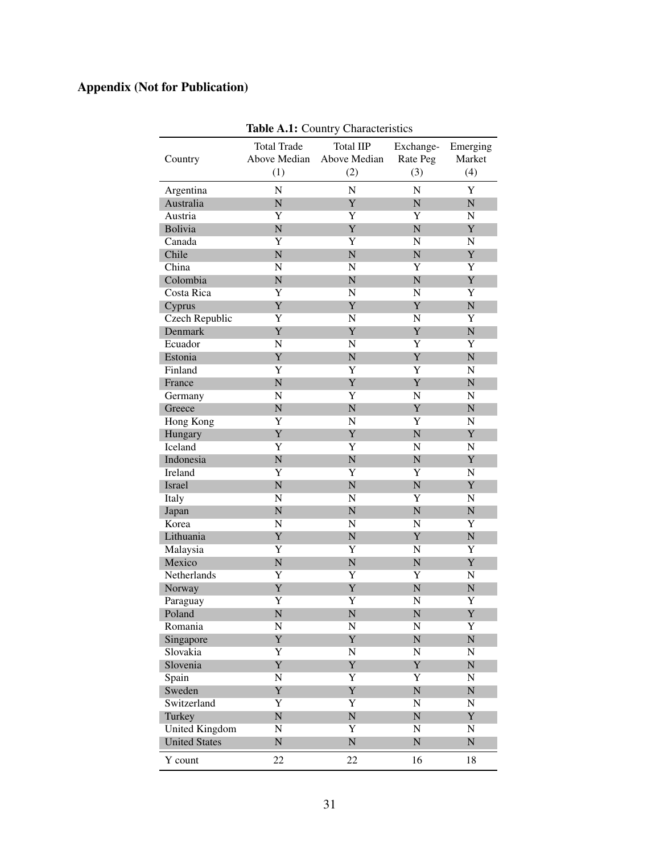# <span id="page-31-0"></span>Appendix (Not for Publication)

|                       |                         | <b>TADIC A.T.</b> COUNTY CHARACTERIUS |                         |                |
|-----------------------|-------------------------|---------------------------------------|-------------------------|----------------|
|                       | <b>Total Trade</b>      | <b>Total IIP</b>                      | Exchange-               | Emerging       |
| Country               | Above Median            | Above Median                          | Rate Peg                | Market         |
|                       | (1)                     | (2)                                   | (3)                     | (4)            |
| Argentina             | N                       | $\mathbf N$                           | N                       | Y              |
| Australia             | N                       | Y                                     | $\mathbf N$             | ${\bf N}$      |
| Austria               | $\overline{Y}$          | Y                                     | Y                       | $\mathbf N$    |
| <b>Bolivia</b>        | $\overline{\rm N}$      | Y                                     | $\overline{N}$          | Y              |
| Canada                | $\overline{Y}$          | Y                                     | $\mathbf N$             | N              |
| Chile                 | $\overline{\rm N}$      | $\overline{N}$                        | $\mathbf N$             | Y              |
| China                 | N                       | N                                     | Y                       | Y              |
| Colombia              | N                       | $\mathbf N$                           | $\overline{N}$          | Y              |
|                       |                         |                                       |                         |                |
| Costa Rica            | Y<br>Y                  | $\mathbf N$                           | N                       | Y              |
| Cyprus                |                         | Y                                     | Y                       | ${\bf N}$      |
| Czech Republic        | Y                       | N                                     | N                       | Y              |
| Denmark               | Y                       | Y                                     | Y                       | ${\bf N}$      |
| Ecuador               | N                       | $\mathbf N$                           | Y                       | Y              |
| Estonia               | Y                       | ${\bf N}$                             | Y                       | ${\bf N}$      |
| Finland               | Y                       | Y                                     | $\overline{Y}$          | $\mathbf N$    |
| France                | N                       | Y                                     | Y                       | ${\bf N}$      |
| Germany               | N                       | Y                                     | N                       | N              |
| Greece                | N                       | $\overline{N}$                        | Y                       | ${\bf N}$      |
| Hong Kong             | Y                       | $\mathbf N$                           | Y                       | N              |
| Hungary               | Y                       | Y                                     | $\overline{\rm N}$      | Y              |
| Iceland               | Y                       | $\overline{Y}$                        | N                       | N              |
| Indonesia             | N                       | ${\bf N}$                             | $\overline{N}$          | Y              |
| Ireland               | Y                       | Y                                     | Y                       | N              |
| Israel                | N                       | ${\bf N}$                             | $\overline{N}$          | Y              |
| Italy                 | N                       | $\mathbf N$                           | Y                       | N              |
| Japan                 | N                       | ${\bf N}$                             | $\overline{N}$          | ${\bf N}$      |
| Korea                 | N                       | $\mathbf N$                           | $\mathbf N$             | $\overline{Y}$ |
| Lithuania             | Y                       | ${\bf N}$                             | Y                       | ${\bf N}$      |
| Malaysia              | Y                       | $\overline{Y}$                        | N                       | $\overline{Y}$ |
| Mexico                | N                       | ${\bf N}$                             | $\overline{N}$          | Y              |
| Netherlands           | Y                       | $\overline{\text{Y}}$                 | $\overline{Y}$          | ${\bf N}$      |
| Norway                | Y                       | Y                                     | $\overline{N}$          | $\mathbf N$    |
| Paraguay              | Y                       | $\overline{Y}$                        | N                       | $\overline{Y}$ |
| Poland                | $\overline{\mathsf{N}}$ | $\overline{\mathsf{N}}$               | $\overline{\mathsf{N}}$ | Y              |
| Romania               | N                       | ${\bf N}$                             | N                       | $\overline{Y}$ |
| Singapore             | Y                       | Y                                     | ${\bf N}$               | ${\bf N}$      |
| Slovakia              | $\overline{Y}$          | ${\bf N}$                             | ${\bf N}$               | $\mathbf N$    |
| Slovenia              | Y                       | Y                                     | Y                       | ${\bf N}$      |
| Spain                 | N                       | Y                                     | $\overline{Y}$          | N              |
| Sweden                | Y                       | Y                                     | ${\bf N}$               | ${\bf N}$      |
| Switzerland           | $\overline{Y}$          | Y                                     | $\mathbf N$             | N              |
| Turkey                | ${\bf N}$               | ${\bf N}$                             | ${\bf N}$               | Y              |
| <b>United Kingdom</b> | ${\bf N}$               | $\overline{Y}$                        | N                       | N              |
| <b>United States</b>  | ${\bf N}$               | ${\bf N}$                             | ${\bf N}$               | ${\bf N}$      |
|                       |                         |                                       |                         |                |
| Y count               | 22                      | 22                                    | 16                      | 18             |

Table A 1: Country Characteristics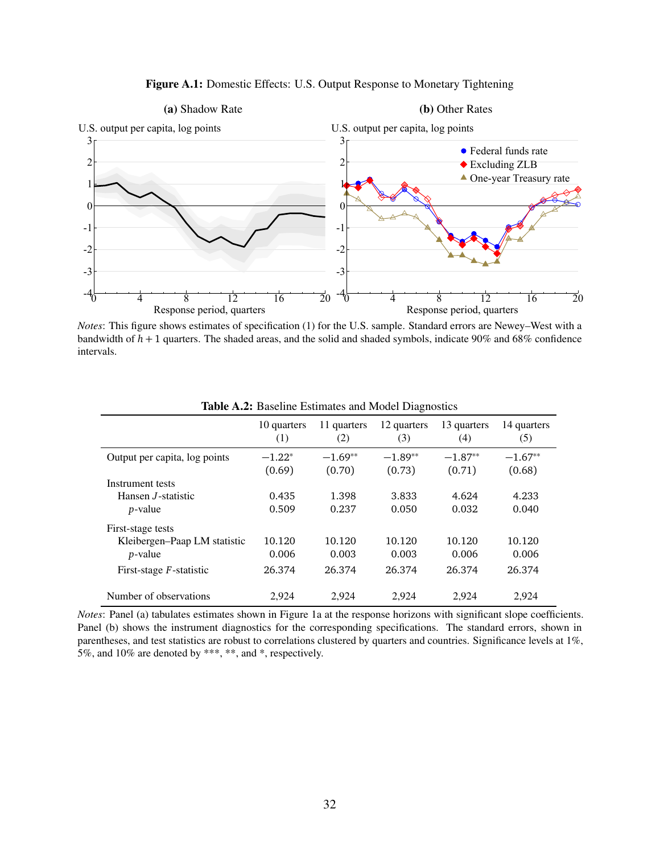<span id="page-32-0"></span>

Figure A.1: Domestic Effects: U.S. Output Response to Monetary Tightening

*Notes*: This figure shows estimates of specification [\(1\)](#page-6-2) for the U.S. sample. Standard errors are Newey–West with a bandwidth of *h* + 1 quarters. The shaded areas, and the solid and shaded symbols, indicate 90% and 68% confidence intervals.

<span id="page-32-1"></span>

|                               | 10 quarters<br>(1) | 11 quarters<br>(2)  | 12 quarters<br>(3)  | 13 quarters<br>(4)  | 14 quarters<br>(5)  |
|-------------------------------|--------------------|---------------------|---------------------|---------------------|---------------------|
| Output per capita, log points | $-1.22*$<br>(0.69) | $-1.69**$<br>(0.70) | $-1.89**$<br>(0.73) | $-1.87**$<br>(0.71) | $-1.67**$<br>(0.68) |
| Instrument tests              |                    |                     |                     |                     |                     |
| Hansen <i>J</i> -statistic    | 0.435              | 1.398               | 3.833               | 4.624               | 4.233               |
| <i>p</i> -value               | 0.509              | 0.237               | 0.050               | 0.032               | 0.040               |
| First-stage tests             |                    |                     |                     |                     |                     |
| Kleibergen-Paap LM statistic  | 10.120             | 10.120              | 10.120              | 10.120              | 10.120              |
| <i>p</i> -value               | 0.006              | 0.003               | 0.003               | 0.006               | 0.006               |
| First-stage $F$ -statistic    | 26.374             | 26.374              | 26.374              | 26.374              | 26.374              |
| Number of observations        | 2,924              | 2,924               | 2,924               | 2,924               | 2,924               |

Table A.2: Baseline Estimates and Model Diagnostics

*Notes*: Panel (a) tabulates estimates shown in Figure [1a](#page-9-0) at the response horizons with significant slope coefficients. Panel (b) shows the instrument diagnostics for the corresponding specifications. The standard errors, shown in parentheses, and test statistics are robust to correlations clustered by quarters and countries. Significance levels at 1%, 5%, and 10% are denoted by \*\*\*, \*\*, and \*, respectively.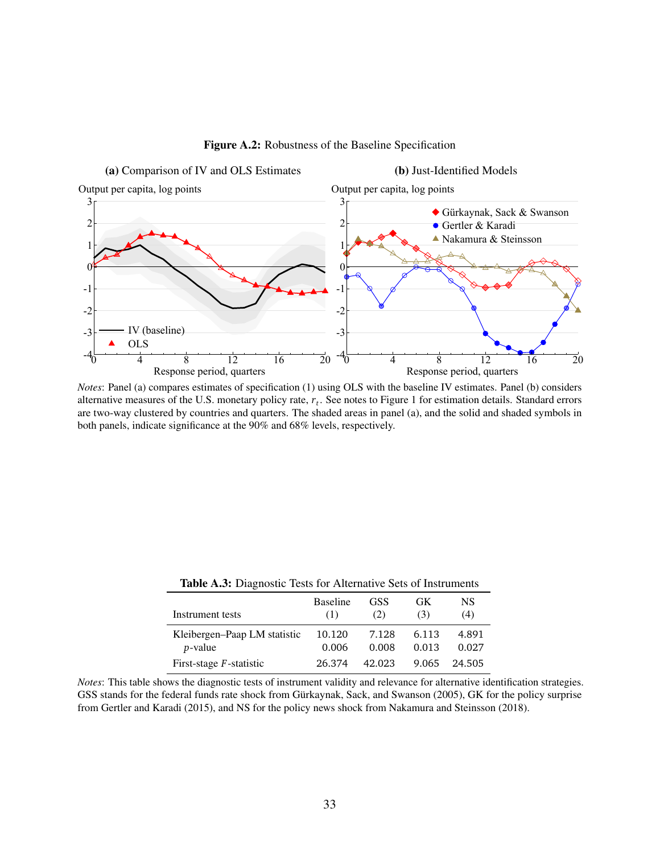<span id="page-33-1"></span>

Figure A.2: Robustness of the Baseline Specification

*Notes*: Panel (a) compares estimates of specification [\(1\)](#page-6-2) using OLS with the baseline IV estimates. Panel (b) considers alternative measures of the U.S. monetary policy rate, *r<sup>t</sup>* . See notes to Figure [1](#page-9-0) for estimation details. Standard errors are two-way clustered by countries and quarters. The shaded areas in panel (a), and the solid and shaded symbols in both panels, indicate significance at the 90% and 68% levels, respectively.

<span id="page-33-0"></span>

| Instrument tests             | <b>Baseline</b> | <b>GSS</b> | GK    | NS     |
|------------------------------|-----------------|------------|-------|--------|
|                              | (1)             | (2)        | (3)   | (4)    |
| Kleibergen–Paap LM statistic | 10.120          | 7.128      | 6.113 | 4.891  |
| <i>p</i> -value              | 0.006           | 0.008      | 0.013 | 0.027  |
| First-stage $F$ -statistic   | 26.374          | 42.023     | 9.065 | 24.505 |

Table A.3: Diagnostic Tests for Alternative Sets of Instruments

*Notes*: This table shows the diagnostic tests of instrument validity and relevance for alternative identification strategies. GSS stands for the federal funds rate shock from [Gürkaynak, Sack, and Swanson](#page-29-14) [\(2005\)](#page-29-14), GK for the policy surprise from [Gertler and Karadi](#page-29-15) [\(2015\)](#page-29-15), and NS for the policy news shock from [Nakamura and Steinsson](#page-30-2) [\(2018\)](#page-30-2).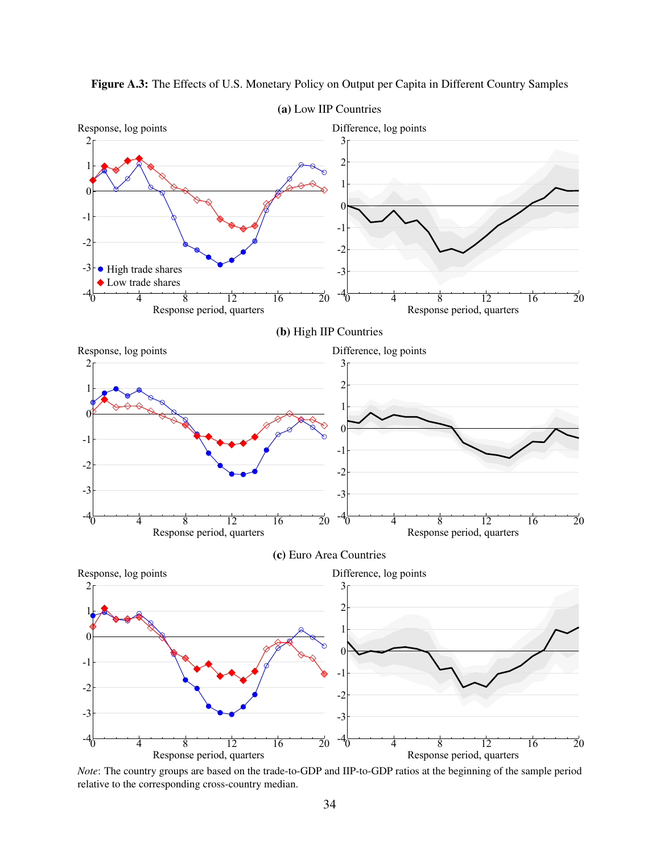

<span id="page-34-0"></span>Figure A.3: The Effects of U.S. Monetary Policy on Output per Capita in Different Country Samples

*Note*: The country groups are based on the trade-to-GDP and IIP-to-GDP ratios at the beginning of the sample period relative to the corresponding cross-country median.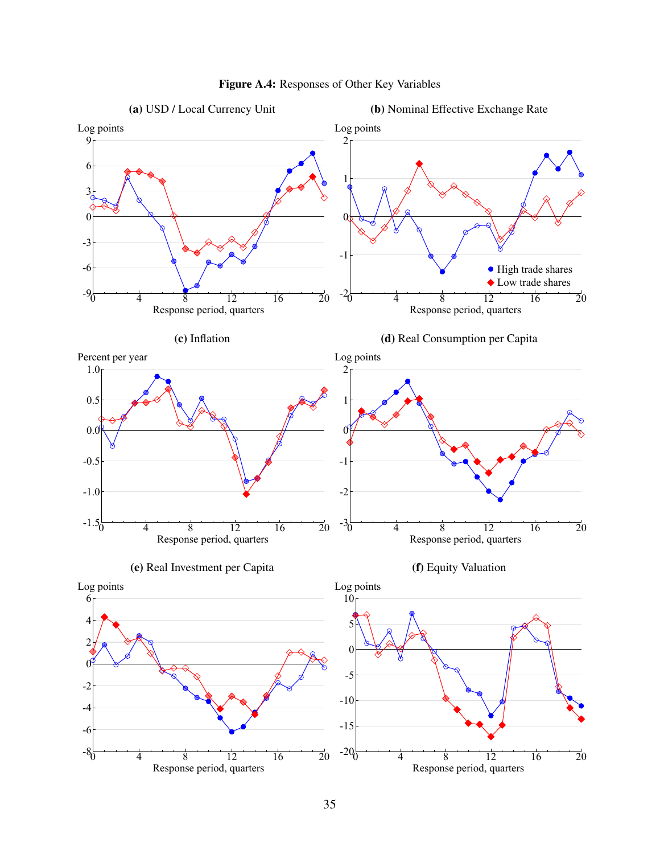<span id="page-35-0"></span>

# Figure A.4: Responses of Other Key Variables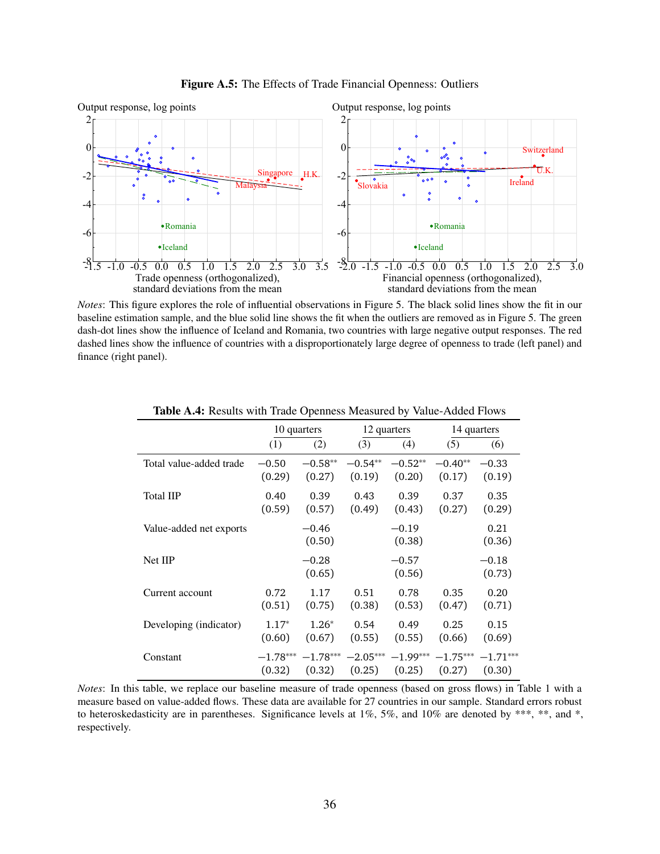

<span id="page-36-0"></span>

*Notes*: This figure explores the role of influential observations in Figure [5.](#page-15-1) The black solid lines show the fit in our baseline estimation sample, and the blue solid line shows the fit when the outliers are removed as in Figure [5.](#page-15-1) The green dash-dot lines show the influence of Iceland and Romania, two countries with large negative output responses. The red dashed lines show the influence of countries with a disproportionately large degree of openness to trade (left panel) and finance (right panel).

<span id="page-36-1"></span>

|                         | 10 quarters |                   |            | 12 quarters       | 14 quarters |                   |
|-------------------------|-------------|-------------------|------------|-------------------|-------------|-------------------|
|                         | (1)         | (2)               | (3)        | (4)               | (5)         | (6)               |
| Total value-added trade | $-0.50$     | $-0.58**$         | $-0.54**$  | $-0.52**$         | $-0.40**$   | $-0.33$           |
|                         | (0.29)      | (0.27)            | (0.19)     | (0.20)            | (0.17)      | (0.19)            |
| Total IIP               | 0.40        | 0.39              | 0.43       | 0.39              | 0.37        | 0.35              |
|                         | (0.59)      | (0.57)            | (0.49)     | (0.43)            | (0.27)      | (0.29)            |
| Value-added net exports |             | $-0.46$<br>(0.50) |            | $-0.19$<br>(0.38) |             | 0.21<br>(0.36)    |
| <b>Net IIP</b>          |             | $-0.28$<br>(0.65) |            | $-0.57$<br>(0.56) |             | $-0.18$<br>(0.73) |
| Current account         | 0.72        | 1.17              | 0.51       | 0.78              | 0.35        | 0.20              |
|                         | (0.51)      | (0.75)            | (0.38)     | (0.53)            | (0.47)      | (0.71)            |
| Developing (indicator)  | $1.17*$     | $1.26*$           | 0.54       | 0.49              | 0.25        | 0.15              |
|                         | (0.60)      | (0.67)            | (0.55)     | (0.55)            | (0.66)      | (0.69)            |
| Constant                | $-1.78***$  | $-1.78***$        | $-2.05***$ | $-1.99***$        | $-1.75***$  | $-1.71***$        |
|                         | (0.32)      | (0.32)            | (0.25)     | (0.25)            | (0.27)      | (0.30)            |

Table A.4: Results with Trade Openness Measured by Value-Added Flows

*Notes*: In this table, we replace our baseline measure of trade openness (based on gross flows) in Table [1](#page-15-0) with a measure based on value-added flows. These data are available for 27 countries in our sample. Standard errors robust to heteroskedasticity are in parentheses. Significance levels at 1%, 5%, and 10% are denoted by \*\*\*, \*\*, and \*, respectively.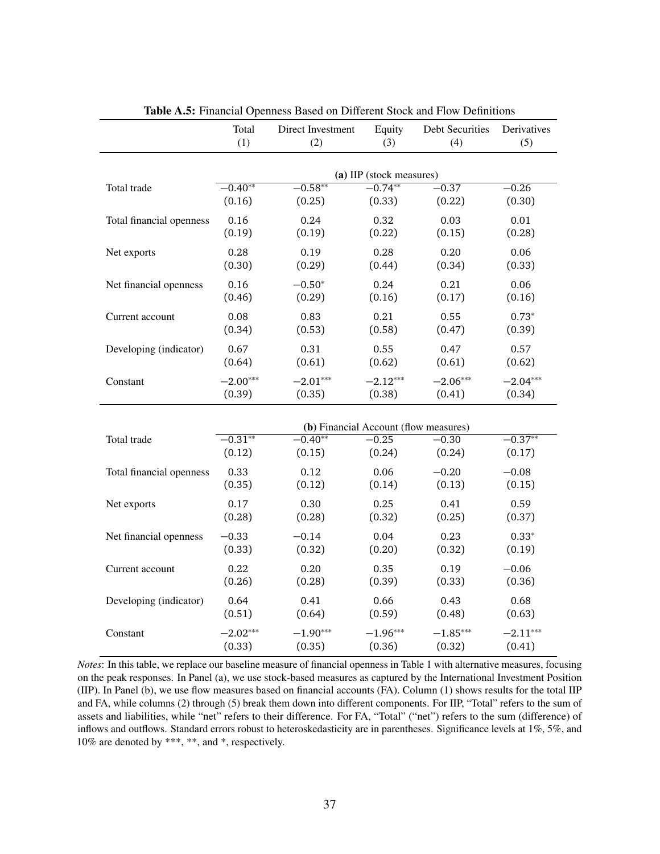<span id="page-37-0"></span>

|                          | Total<br>(1)             | Direct Investment<br>(2)                           | Equity<br>(3) | <b>Debt Securities</b><br>(4) | Derivatives<br>(5) |  |  |  |
|--------------------------|--------------------------|----------------------------------------------------|---------------|-------------------------------|--------------------|--|--|--|
|                          | (a) IIP (stock measures) |                                                    |               |                               |                    |  |  |  |
| Total trade              | $-0.40**$                | $-0.58**$                                          | $-0.74**$     | $\overline{-0.37}$            | $-0.26$            |  |  |  |
|                          | (0.16)                   | (0.25)                                             | (0.33)        | (0.22)                        | (0.30)             |  |  |  |
| Total financial openness | 0.16                     | 0.24                                               | 0.32          | 0.03                          | 0.01               |  |  |  |
|                          | (0.19)                   | (0.19)                                             | (0.22)        | (0.15)                        | (0.28)             |  |  |  |
| Net exports              | 0.28                     | 0.19                                               | 0.28          | 0.20                          | 0.06               |  |  |  |
|                          | (0.30)                   | (0.29)                                             | (0.44)        | (0.34)                        | (0.33)             |  |  |  |
| Net financial openness   | 0.16                     | $-0.50*$                                           | 0.24          | 0.21                          | 0.06               |  |  |  |
|                          | (0.46)                   | (0.29)                                             | (0.16)        | (0.17)                        | (0.16)             |  |  |  |
| Current account          | 0.08                     | 0.83                                               | 0.21          | 0.55                          | $0.73*$            |  |  |  |
|                          | (0.34)                   | (0.53)                                             | (0.58)        | (0.47)                        | (0.39)             |  |  |  |
| Developing (indicator)   | 0.67                     | 0.31                                               | 0.55          | 0.47                          | 0.57               |  |  |  |
|                          | (0.64)                   | (0.61)                                             | (0.62)        | (0.61)                        | (0.62)             |  |  |  |
| Constant                 | $-2.00***$               | $-2.01***$                                         | $-2.12***$    | $-2.06***$                    | $-2.04***$         |  |  |  |
|                          | (0.39)                   | (0.35)                                             | (0.38)        | (0.41)                        | (0.34)             |  |  |  |
|                          |                          |                                                    |               |                               |                    |  |  |  |
|                          | $-0.31***$               | (b) Financial Account (flow measures)<br>$-0.40**$ | $-0.25$       | $-0.30$                       | $-0.37**$          |  |  |  |
| Total trade              | (0.12)                   | (0.15)                                             | (0.24)        | (0.24)                        | (0.17)             |  |  |  |
|                          | 0.33                     |                                                    | 0.06          | $-0.20$                       |                    |  |  |  |
| Total financial openness | (0.35)                   | 0.12<br>(0.12)                                     | (0.14)        | (0.13)                        | $-0.08$<br>(0.15)  |  |  |  |
|                          |                          |                                                    |               |                               |                    |  |  |  |
| Net exports              | 0.17                     | 0.30                                               | 0.25          | 0.41                          | 0.59               |  |  |  |
|                          | (0.28)                   | (0.28)                                             | (0.32)        | (0.25)                        | (0.37)             |  |  |  |
| Net financial openness   | $-0.33$                  | $-0.14$                                            | 0.04          | 0.23                          | $0.33*$            |  |  |  |
|                          | (0.33)                   | (0.32)                                             | (0.20)        | (0.32)                        | (0.19)             |  |  |  |
| Current account          | 0.22                     | 0.20                                               | 0.35          | 0.19                          | $-0.06$            |  |  |  |
|                          | (0.26)                   | (0.28)                                             | (0.39)        | (0.33)                        | (0.36)             |  |  |  |
| Developing (indicator)   | 0.64                     | 0.41                                               | 0.66          | 0.43                          | 0.68               |  |  |  |
|                          | (0.51)                   | (0.64)                                             | (0.59)        | (0.48)                        | (0.63)             |  |  |  |
| Constant                 | $-2.02***$               | $-1.90***$                                         | $-1.96***$    | $-1.85***$                    | $-2.11***$         |  |  |  |
|                          | (0.33)                   | (0.35)                                             | (0.36)        | (0.32)                        | (0.41)             |  |  |  |

Table A.5: Financial Openness Based on Different Stock and Flow Definitions

*Notes*: In this table, we replace our baseline measure of financial openness in Table [1](#page-15-0) with alternative measures, focusing on the peak responses. In Panel (a), we use stock-based measures as captured by the International Investment Position (IIP). In Panel (b), we use flow measures based on financial accounts (FA). Column (1) shows results for the total IIP and FA, while columns (2) through (5) break them down into different components. For IIP, "Total" refers to the sum of assets and liabilities, while "net" refers to their difference. For FA, "Total" ("net") refers to the sum (difference) of inflows and outflows. Standard errors robust to heteroskedasticity are in parentheses. Significance levels at 1%, 5%, and 10% are denoted by \*\*\*, \*\*, and \*, respectively.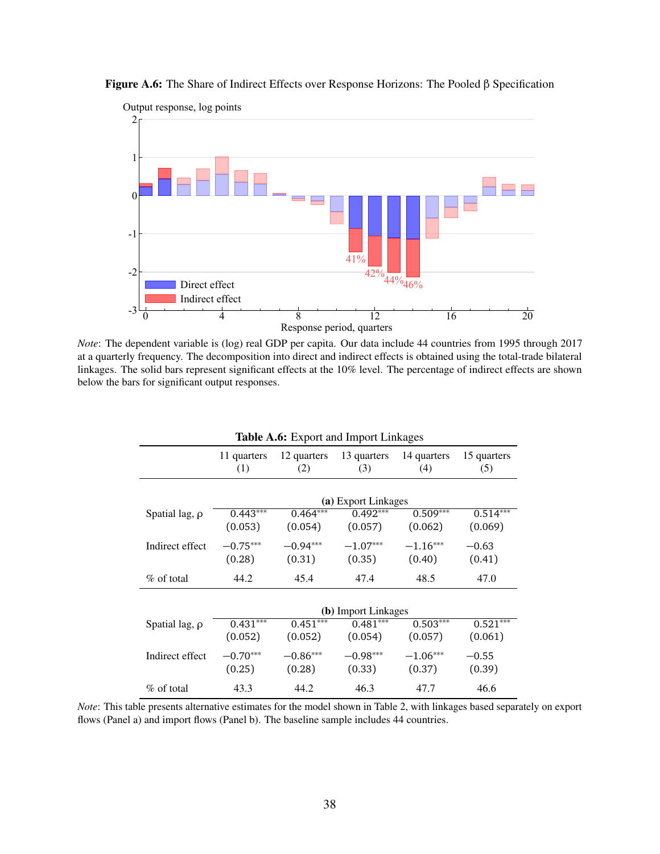<span id="page-38-1"></span>



*Note*: The dependent variable is (log) real GDP per capita. Our data include 44 countries from 1995 through 2017 at a quarterly frequency. The decomposition into direct and indirect effects is obtained using the total-trade bilateral linkages. The solid bars represent significant effects at the 10% level. The percentage of indirect effects are shown below the bars for significant output responses.

<span id="page-38-0"></span>

| <b>Table A.6:</b> Export and Import Linkages |                       |                       |                       |                                |                       |  |  |  |
|----------------------------------------------|-----------------------|-----------------------|-----------------------|--------------------------------|-----------------------|--|--|--|
|                                              | 11 quarters<br>(1)    | 12 quarters<br>(2)    | (3)                   | 13 quarters 14 quarters<br>(4) | 15 quarters<br>(5)    |  |  |  |
|                                              | (a) Export Linkages   |                       |                       |                                |                       |  |  |  |
| Spatial lag, $\rho$                          | $0.443***$<br>(0.053) | $0.464***$<br>(0.054) | $0.492***$<br>(0.057) | $0.509***$<br>(0.062)          | $0.514***$<br>(0.069) |  |  |  |
| Indirect effect                              | $-0.75***$<br>(0.28)  | $-0.94***$<br>(0.31)  | $-1.07***$<br>(0.35)  | $-1.16***$<br>(0.40)           | $-0.63$<br>(0.41)     |  |  |  |
| $\%$ of total                                | 44.2                  | 45.4                  | 47.4                  | 48.5                           | 47.0                  |  |  |  |
|                                              | (b) Import Linkages   |                       |                       |                                |                       |  |  |  |
| Spatial lag, $\rho$                          | $0.431***$<br>(0.052) | $0.451***$<br>(0.052) | $0.481***$<br>(0.054) | $0.503***$<br>(0.057)          | $0.521***$<br>(0.061) |  |  |  |
| Indirect effect                              | $-0.70***$<br>(0.25)  | $-0.86***$<br>(0.28)  | $-0.98***$<br>(0.33)  | $-1.06***$<br>(0.37)           | $-0.55$<br>(0.39)     |  |  |  |
| $\%$ of total                                | 43.3                  | 44.2                  | 46.3                  | 47.7                           | 46.6                  |  |  |  |

*Note*: This table presents alternative estimates for the model shown in Table [2,](#page-23-0) with linkages based separately on export flows (Panel a) and import flows (Panel b). The baseline sample includes 44 countries.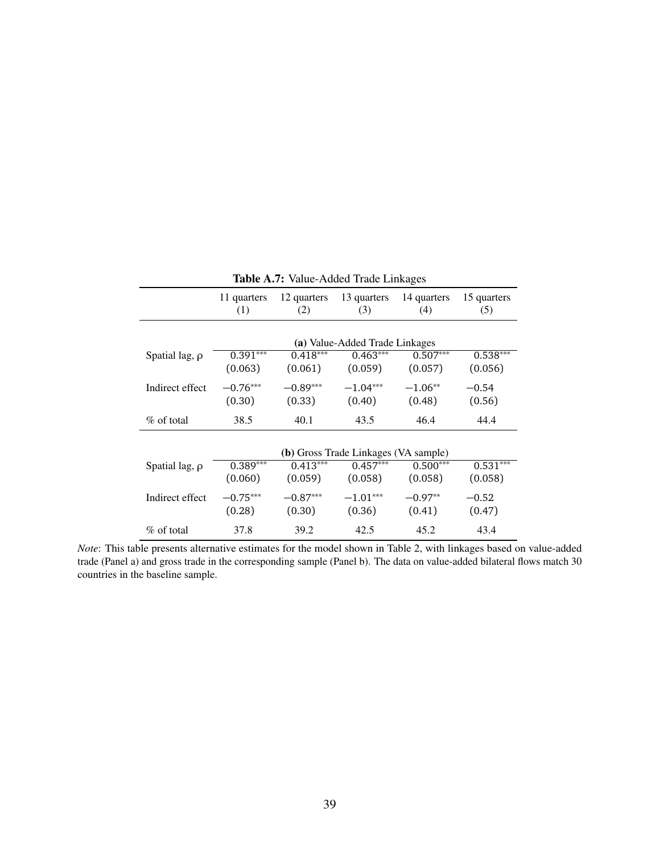<span id="page-39-0"></span>

|                     | 11 quarters<br>(1)                          | 12 quarters<br>(2) | 13 quarters<br>(3)             | 14 quarters<br>(4) | 15 quarters<br>(5) |  |  |
|---------------------|---------------------------------------------|--------------------|--------------------------------|--------------------|--------------------|--|--|
|                     |                                             |                    | (a) Value-Added Trade Linkages |                    |                    |  |  |
| Spatial lag, $\rho$ | $0.391***$                                  | $0.418***$         | $0.463***$                     | $0.507***$         | $0.538***$         |  |  |
|                     | (0.063)                                     | (0.061)            | (0.059)                        | (0.057)            | (0.056)            |  |  |
| Indirect effect     | $-0.76***$                                  | $-0.89***$         | $-1.04***$                     | $-1.06**$          | $-0.54$            |  |  |
|                     | (0.30)                                      | (0.33)             | (0.40)                         | (0.48)             | (0.56)             |  |  |
| $\%$ of total       | 38.5                                        | 40.1               | 43.5                           | 46.4               | 44.4               |  |  |
|                     | <b>(b)</b> Gross Trade Linkages (VA sample) |                    |                                |                    |                    |  |  |
| Spatial lag, $\rho$ | $0.389***$                                  | $0.413***$         | $0.457***$                     | $0.500***$         | $0.531***$         |  |  |
|                     | (0.060)                                     | (0.059)            | (0.058)                        | (0.058)            | (0.058)            |  |  |
| Indirect effect     | $-0.75***$                                  | $-0.87***$         | $-1.01***$                     | $-0.97**$          | $-0.52$            |  |  |
|                     | (0.28)                                      | (0.30)             | (0.36)                         | (0.41)             | (0.47)             |  |  |
| $\%$ of total       | 37.8                                        | 39.2               | 42.5                           | 45.2               | 43.4               |  |  |

Table A.7: Value-Added Trade Linkages

*Note*: This table presents alternative estimates for the model shown in Table [2,](#page-23-0) with linkages based on value-added trade (Panel a) and gross trade in the corresponding sample (Panel b). The data on value-added bilateral flows match 30 countries in the baseline sample.